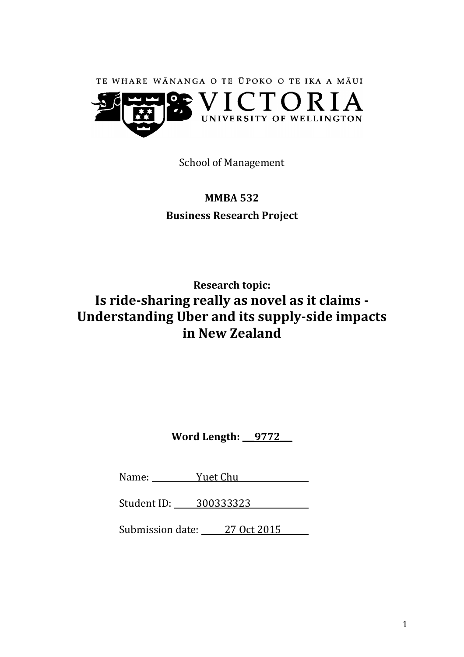

School of Management

# **MMBA 532 Business Research Project**

# **Research topic: Is ride-sharing really as novel as it claims - Understanding Uber and its supply-side impacts in New Zealand**

**Word Length: \_\_\_9772\_\_\_**

Name: <u>Yuet Chu</u>

Student ID: 300333323

Submission date: 27 Oct 2015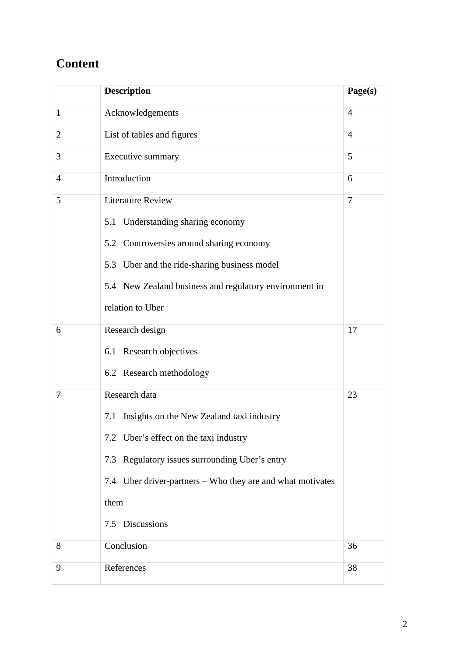# **Content**

|                | <b>Description</b>                                         | Page(s)        |  |
|----------------|------------------------------------------------------------|----------------|--|
| $\mathbf{1}$   | Acknowledgements                                           |                |  |
| $\overline{2}$ | List of tables and figures<br>$\overline{4}$               |                |  |
| 3              | Executive summary                                          |                |  |
| $\overline{4}$ | Introduction<br>6                                          |                |  |
| 5              | <b>Literature Review</b>                                   | $\overline{7}$ |  |
|                | 5.1 Understanding sharing economy                          |                |  |
|                | 5.2 Controversies around sharing economy                   |                |  |
|                | 5.3 Uber and the ride-sharing business model               |                |  |
|                | 5.4 New Zealand business and regulatory environment in     |                |  |
|                | relation to Uber                                           |                |  |
| 6              | Research design                                            | 17             |  |
|                | 6.1 Research objectives                                    |                |  |
|                | 6.2 Research methodology                                   |                |  |
| 7              | Research data                                              | 23             |  |
|                | Insights on the New Zealand taxi industry<br>7.1           |                |  |
|                | 7.2 Uber's effect on the taxi industry                     |                |  |
|                | 7.3 Regulatory issues surrounding Uber's entry             |                |  |
|                | 7.4 Uber driver-partners – Who they are and what motivates |                |  |
|                | them                                                       |                |  |
|                | 7.5 Discussions                                            |                |  |
| 8              | Conclusion                                                 | 36             |  |
| 9              | References                                                 | 38             |  |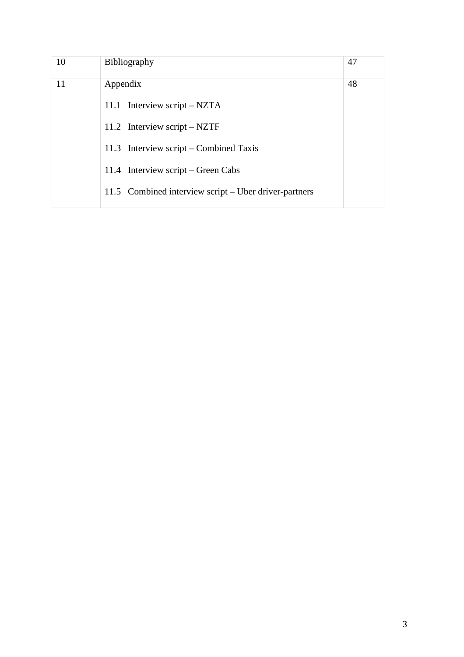| Bibliography                                          |  |
|-------------------------------------------------------|--|
| Appendix                                              |  |
| 11.1 Interview script $-$ NZTA                        |  |
| 11.2 Interview script $-$ NZTF                        |  |
| 11.3 Interview script – Combined Taxis                |  |
| 11.4 Interview script – Green Cabs                    |  |
| 11.5 Combined interview script – Uber driver-partners |  |
|                                                       |  |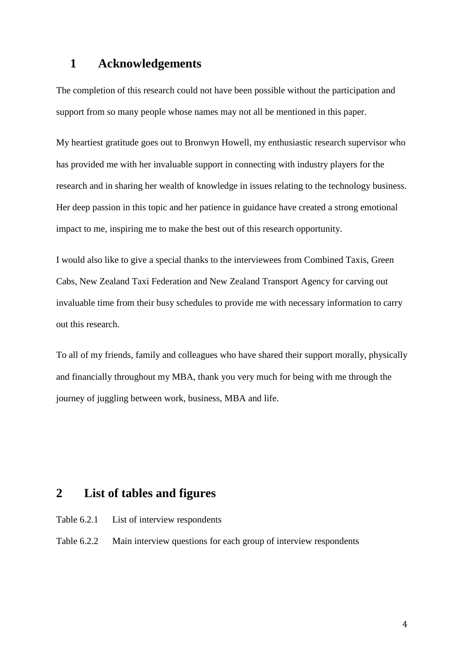## **1 Acknowledgements**

The completion of this research could not have been possible without the participation and support from so many people whose names may not all be mentioned in this paper.

My heartiest gratitude goes out to Bronwyn Howell, my enthusiastic research supervisor who has provided me with her invaluable support in connecting with industry players for the research and in sharing her wealth of knowledge in issues relating to the technology business. Her deep passion in this topic and her patience in guidance have created a strong emotional impact to me, inspiring me to make the best out of this research opportunity.

I would also like to give a special thanks to the interviewees from Combined Taxis, Green Cabs, New Zealand Taxi Federation and New Zealand Transport Agency for carving out invaluable time from their busy schedules to provide me with necessary information to carry out this research.

To all of my friends, family and colleagues who have shared their support morally, physically and financially throughout my MBA, thank you very much for being with me through the journey of juggling between work, business, MBA and life.

## **2 List of tables and figures**

- Table 6.2.1 List of interview respondents
- Table 6.2.2 Main interview questions for each group of interview respondents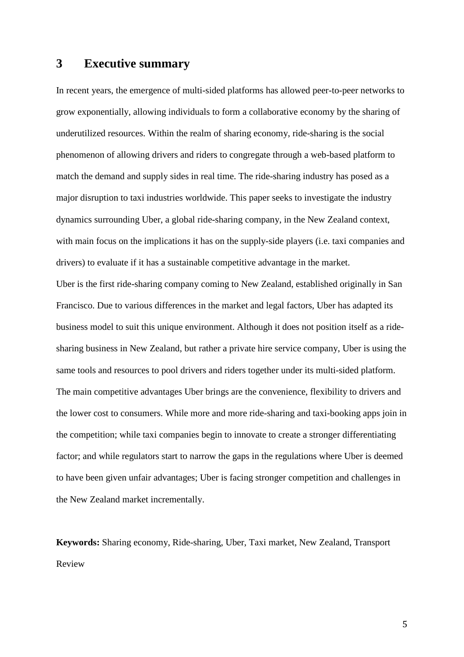## **3 Executive summary**

In recent years, the emergence of multi-sided platforms has allowed peer-to-peer networks to grow exponentially, allowing individuals to form a collaborative economy by the sharing of underutilized resources. Within the realm of sharing economy, ride-sharing is the social phenomenon of allowing drivers and riders to congregate through a web-based platform to match the demand and supply sides in real time. The ride-sharing industry has posed as a major disruption to taxi industries worldwide. This paper seeks to investigate the industry dynamics surrounding Uber, a global ride-sharing company, in the New Zealand context, with main focus on the implications it has on the supply-side players (i.e. taxi companies and drivers) to evaluate if it has a sustainable competitive advantage in the market. Uber is the first ride-sharing company coming to New Zealand, established originally in San Francisco. Due to various differences in the market and legal factors, Uber has adapted its business model to suit this unique environment. Although it does not position itself as a ridesharing business in New Zealand, but rather a private hire service company, Uber is using the same tools and resources to pool drivers and riders together under its multi-sided platform. The main competitive advantages Uber brings are the convenience, flexibility to drivers and the lower cost to consumers. While more and more ride-sharing and taxi-booking apps join in the competition; while taxi companies begin to innovate to create a stronger differentiating factor; and while regulators start to narrow the gaps in the regulations where Uber is deemed to have been given unfair advantages; Uber is facing stronger competition and challenges in the New Zealand market incrementally.

**Keywords:** Sharing economy, Ride-sharing, Uber, Taxi market, New Zealand, Transport Review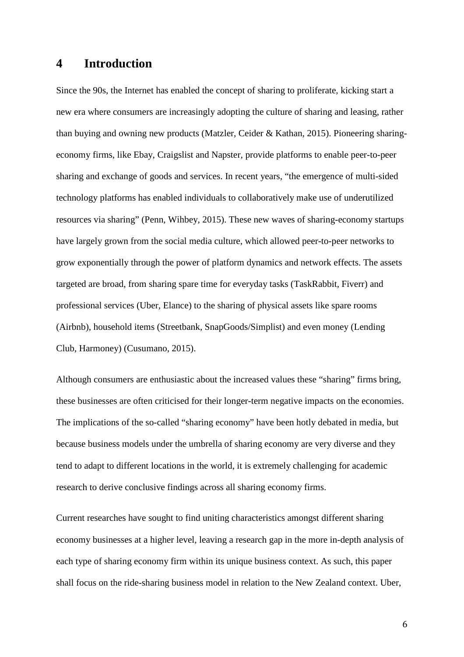### **4 Introduction**

Since the 90s, the Internet has enabled the concept of sharing to proliferate, kicking start a new era where consumers are increasingly adopting the culture of sharing and leasing, rather than buying and owning new products (Matzler, Ceider & Kathan, 2015). Pioneering sharingeconomy firms, like Ebay, Craigslist and Napster, provide platforms to enable peer-to-peer sharing and exchange of goods and services. In recent years, "the emergence of multi-sided technology platforms has enabled individuals to collaboratively make use of underutilized resources via sharing" (Penn, Wihbey, 2015). These new waves of sharing-economy startups have largely grown from the social media culture, which allowed peer-to-peer networks to grow exponentially through the power of platform dynamics and network effects. The assets targeted are broad, from sharing spare time for everyday tasks (TaskRabbit, Fiverr) and professional services (Uber, Elance) to the sharing of physical assets like spare rooms (Airbnb), household items (Streetbank, SnapGoods/Simplist) and even money (Lending Club, Harmoney) (Cusumano, 2015).

Although consumers are enthusiastic about the increased values these "sharing" firms bring, these businesses are often criticised for their longer-term negative impacts on the economies. The implications of the so-called "sharing economy" have been hotly debated in media, but because business models under the umbrella of sharing economy are very diverse and they tend to adapt to different locations in the world, it is extremely challenging for academic research to derive conclusive findings across all sharing economy firms.

Current researches have sought to find uniting characteristics amongst different sharing economy businesses at a higher level, leaving a research gap in the more in-depth analysis of each type of sharing economy firm within its unique business context. As such, this paper shall focus on the ride-sharing business model in relation to the New Zealand context. Uber,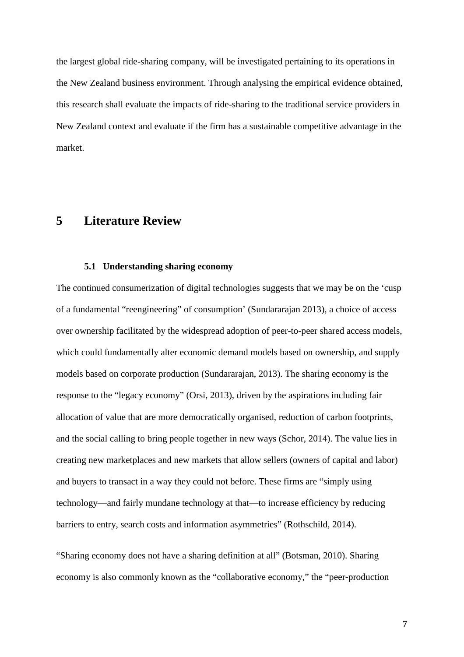the largest global ride-sharing company, will be investigated pertaining to its operations in the New Zealand business environment. Through analysing the empirical evidence obtained, this research shall evaluate the impacts of ride-sharing to the traditional service providers in New Zealand context and evaluate if the firm has a sustainable competitive advantage in the market.

## **5 Literature Review**

#### **5.1 Understanding sharing economy**

The continued consumerization of digital technologies suggests that we may be on the 'cusp of a fundamental "reengineering" of consumption' (Sundararajan 2013), a choice of access over ownership facilitated by the widespread adoption of peer-to-peer shared access models, which could fundamentally alter economic demand models based on ownership, and supply models based on corporate production (Sundararajan, 2013). The sharing economy is the response to the "legacy economy" (Orsi, 2013), driven by the aspirations including fair allocation of value that are more democratically organised, reduction of carbon footprints, and the social calling to bring people together in new ways (Schor, 2014). The value lies in creating new marketplaces and new markets that allow sellers (owners of capital and labor) and buyers to transact in a way they could not before. These firms are "simply using technology—and fairly mundane technology at that—to increase efficiency by reducing barriers to entry, search costs and information asymmetries" (Rothschild, 2014).

"Sharing economy does not have a sharing definition at all" (Botsman, 2010). Sharing economy is also commonly known as the "collaborative economy," the "peer-production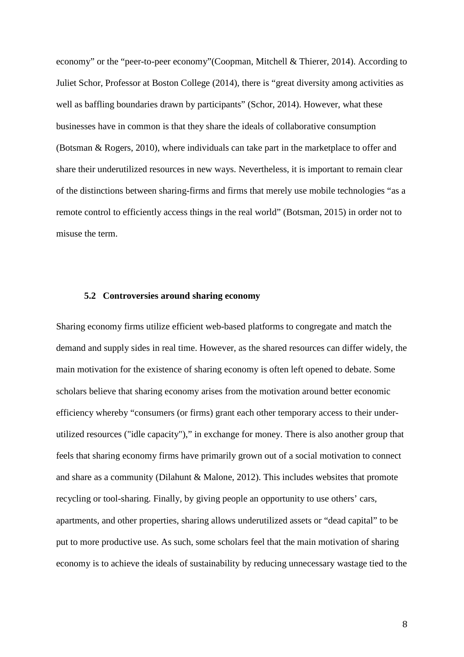economy" or the "peer-to-peer economy"(Coopman, Mitchell & Thierer, 2014). According to Juliet Schor, Professor at Boston College (2014), there is "great diversity among activities as well as baffling boundaries drawn by participants" (Schor, 2014). However, what these businesses have in common is that they share the ideals of collaborative consumption (Botsman & Rogers, 2010), where individuals can take part in the marketplace to offer and share their underutilized resources in new ways. Nevertheless, it is important to remain clear of the distinctions between sharing-firms and firms that merely use mobile technologies "as a remote control to efficiently access things in the real world" (Botsman, 2015) in order not to misuse the term.

#### **5.2 Controversies around sharing economy**

Sharing economy firms utilize efficient web-based platforms to congregate and match the demand and supply sides in real time. However, as the shared resources can differ widely, the main motivation for the existence of sharing economy is often left opened to debate. Some scholars believe that sharing economy arises from the motivation around better economic efficiency whereby "consumers (or firms) grant each other temporary access to their underutilized resources ("idle capacity")," in exchange for money. There is also another group that feels that sharing economy firms have primarily grown out of a social motivation to connect and share as a community (Dilahunt & Malone, 2012). This includes websites that promote recycling or tool-sharing. Finally, by giving people an opportunity to use others' cars, apartments, and other properties, sharing allows underutilized assets or "dead capital" to be put to more productive use. As such, some scholars feel that the main motivation of sharing economy is to achieve the ideals of sustainability by reducing unnecessary wastage tied to the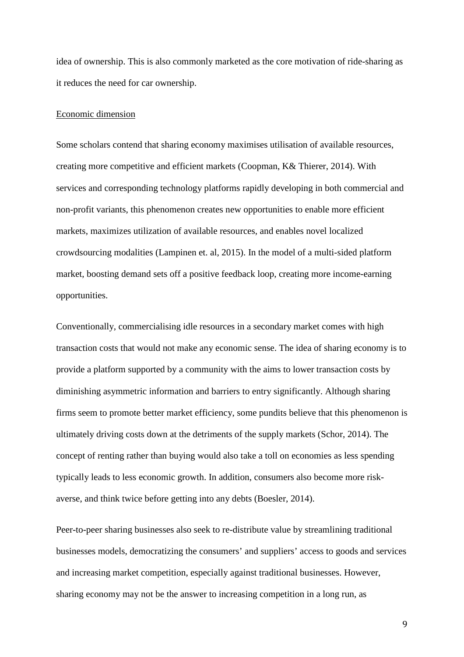idea of ownership. This is also commonly marketed as the core motivation of ride-sharing as it reduces the need for car ownership.

#### Economic dimension

Some scholars contend that sharing economy maximises utilisation of available resources, creating more competitive and efficient markets (Coopman, K& Thierer, 2014). With services and corresponding technology platforms rapidly developing in both commercial and non-profit variants, this phenomenon creates new opportunities to enable more efficient markets, maximizes utilization of available resources, and enables novel localized crowdsourcing modalities (Lampinen et. al, 2015). In the model of a multi-sided platform market, boosting demand sets off a positive feedback loop, creating more income-earning opportunities.

Conventionally, commercialising idle resources in a secondary market comes with high transaction costs that would not make any economic sense. The idea of sharing economy is to provide a platform supported by a community with the aims to lower transaction costs by diminishing asymmetric information and barriers to entry significantly. Although sharing firms seem to promote better market efficiency, some pundits believe that this phenomenon is ultimately driving costs down at the detriments of the supply markets (Schor, 2014). The concept of renting rather than buying would also take a toll on economies as less spending typically leads to less economic growth. In addition, consumers also become more riskaverse, and think twice before getting into any debts (Boesler, 2014).

Peer-to-peer sharing businesses also seek to re-distribute value by streamlining traditional businesses models, democratizing the consumers' and suppliers' access to goods and services and increasing market competition, especially against traditional businesses. However, sharing economy may not be the answer to increasing competition in a long run, as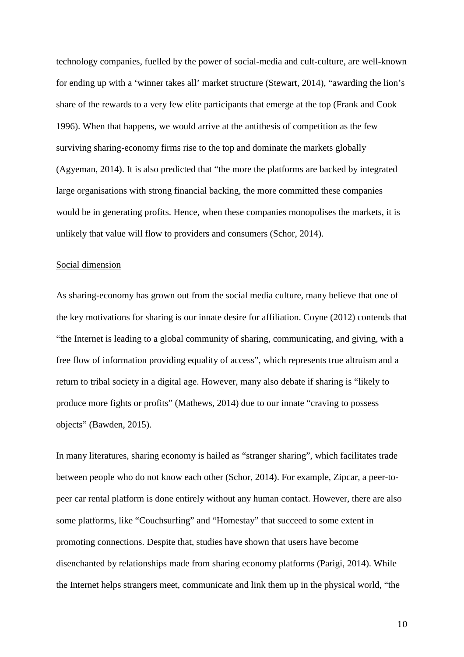technology companies, fuelled by the power of social-media and cult-culture, are well-known for ending up with a 'winner takes all' market structure (Stewart, 2014), "awarding the lion's share of the rewards to a very few elite participants that emerge at the top (Frank and Cook 1996). When that happens, we would arrive at the antithesis of competition as the few surviving sharing-economy firms rise to the top and dominate the markets globally (Agyeman, 2014). It is also predicted that "the more the platforms are backed by integrated large organisations with strong financial backing, the more committed these companies would be in generating profits. Hence, when these companies monopolises the markets, it is unlikely that value will flow to providers and consumers (Schor, 2014).

#### Social dimension

As sharing-economy has grown out from the social media culture, many believe that one of the key motivations for sharing is our innate desire for affiliation. Coyne (2012) contends that "the Internet is leading to a global community of sharing, communicating, and giving, with a free flow of information providing equality of access", which represents true altruism and a return to tribal society in a digital age. However, many also debate if sharing is "likely to produce more fights or profits" (Mathews, 2014) due to our innate "craving to possess objects" (Bawden, 2015).

In many literatures, sharing economy is hailed as "stranger sharing", which facilitates trade between people who do not know each other (Schor, 2014). For example, Zipcar, a peer-topeer car rental platform is done entirely without any human contact. However, there are also some platforms, like "Couchsurfing" and "Homestay" that succeed to some extent in promoting connections. Despite that, studies have shown that users have become disenchanted by relationships made from sharing economy platforms (Parigi, 2014). While the Internet helps strangers meet, communicate and link them up in the physical world, "the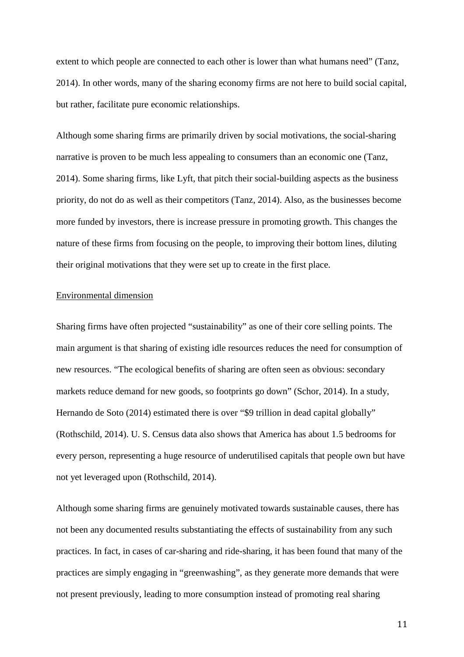extent to which people are connected to each other is lower than what humans need" (Tanz, 2014). In other words, many of the sharing economy firms are not here to build social capital, but rather, facilitate pure economic relationships.

Although some sharing firms are primarily driven by social motivations, the social-sharing narrative is proven to be much less appealing to consumers than an economic one (Tanz, 2014). Some sharing firms, like Lyft, that pitch their social-building aspects as the business priority, do not do as well as their competitors (Tanz, 2014). Also, as the businesses become more funded by investors, there is increase pressure in promoting growth. This changes the nature of these firms from focusing on the people, to improving their bottom lines, diluting their original motivations that they were set up to create in the first place.

#### Environmental dimension

Sharing firms have often projected "sustainability" as one of their core selling points. The main argument is that sharing of existing idle resources reduces the need for consumption of new resources. "The ecological benefits of sharing are often seen as obvious: secondary markets reduce demand for new goods, so footprints go down" (Schor, 2014). In a study, Hernando de Soto (2014) estimated there is over "\$9 trillion in dead capital globally" (Rothschild, 2014). U. S. Census data also shows that America has about 1.5 bedrooms for every person, representing a huge resource of underutilised capitals that people own but have not yet leveraged upon (Rothschild, 2014).

Although some sharing firms are genuinely motivated towards sustainable causes, there has not been any documented results substantiating the effects of sustainability from any such practices. In fact, in cases of car-sharing and ride-sharing, it has been found that many of the practices are simply engaging in "greenwashing", as they generate more demands that were not present previously, leading to more consumption instead of promoting real sharing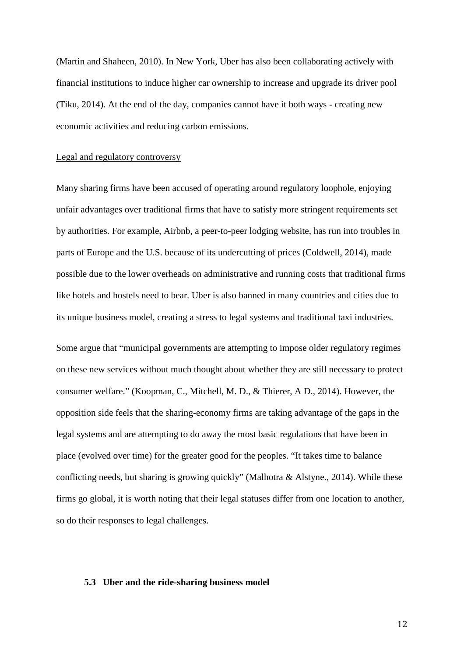(Martin and Shaheen, 2010). In New York, Uber has also been collaborating actively with financial institutions to induce higher car ownership to increase and upgrade its driver pool (Tiku, 2014). At the end of the day, companies cannot have it both ways - creating new economic activities and reducing carbon emissions.

#### Legal and regulatory controversy

Many sharing firms have been accused of operating around regulatory loophole, enjoying unfair advantages over traditional firms that have to satisfy more stringent requirements set by authorities. For example, Airbnb, a peer-to-peer lodging website, has run into troubles in parts of Europe and the U.S. because of its undercutting of prices (Coldwell, 2014), made possible due to the lower overheads on administrative and running costs that traditional firms like hotels and hostels need to bear. Uber is also banned in many countries and cities due to its unique business model, creating a stress to legal systems and traditional taxi industries.

Some argue that "municipal governments are attempting to impose older regulatory regimes on these new services without much thought about whether they are still necessary to protect consumer welfare." (Koopman, C., Mitchell, M. D., & Thierer, A D., 2014). However, the opposition side feels that the sharing-economy firms are taking advantage of the gaps in the legal systems and are attempting to do away the most basic regulations that have been in place (evolved over time) for the greater good for the peoples. "It takes time to balance conflicting needs, but sharing is growing quickly" (Malhotra & Alstyne., 2014). While these firms go global, it is worth noting that their legal statuses differ from one location to another, so do their responses to legal challenges.

#### **5.3 Uber and the ride-sharing business model**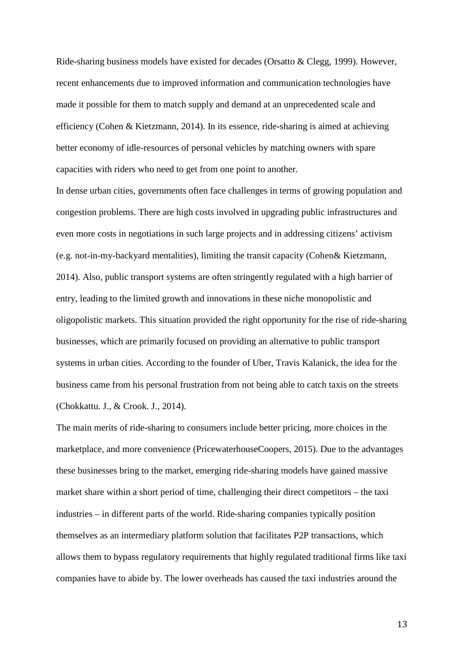Ride-sharing business models have existed for decades (Orsatto & Clegg, 1999). However, recent enhancements due to improved information and communication technologies have made it possible for them to match supply and demand at an unprecedented scale and efficiency (Cohen & Kietzmann, 2014). In its essence, ride-sharing is aimed at achieving better economy of idle-resources of personal vehicles by matching owners with spare capacities with riders who need to get from one point to another.

In dense urban cities, governments often face challenges in terms of growing population and congestion problems. There are high costs involved in upgrading public infrastructures and even more costs in negotiations in such large projects and in addressing citizens' activism (e.g. not-in-my-backyard mentalities), limiting the transit capacity (Cohen& Kietzmann, 2014). Also, public transport systems are often stringently regulated with a high barrier of entry, leading to the limited growth and innovations in these niche monopolistic and oligopolistic markets. This situation provided the right opportunity for the rise of ride-sharing businesses, which are primarily focused on providing an alternative to public transport systems in urban cities. According to the founder of Uber, Travis Kalanick, the idea for the business came from his personal frustration from not being able to catch taxis on the streets (Chokkattu. J., & Crook. J., 2014).

The main merits of ride-sharing to consumers include better pricing, more choices in the marketplace, and more convenience (PricewaterhouseCoopers, 2015). Due to the advantages these businesses bring to the market, emerging ride-sharing models have gained massive market share within a short period of time, challenging their direct competitors – the taxi industries – in different parts of the world. Ride-sharing companies typically position themselves as an intermediary platform solution that facilitates P2P transactions, which allows them to bypass regulatory requirements that highly regulated traditional firms like taxi companies have to abide by. The lower overheads has caused the taxi industries around the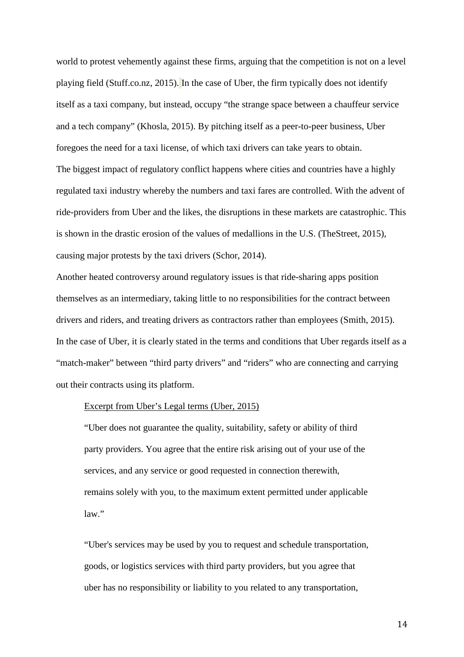world to protest vehemently against these firms, arguing that the competition is not on a level playing field (Stuff.co.nz, 2015). In the case of Uber, the firm typically does not identify itself as a taxi company, but instead, occupy "the strange space between a chauffeur service and a tech company" (Khosla, 2015). By pitching itself as a peer-to-peer business, Uber foregoes the need for a taxi license, of which taxi drivers can take years to obtain. The biggest impact of regulatory conflict happens where cities and countries have a highly regulated taxi industry whereby the numbers and taxi fares are controlled. With the advent of ride-providers from Uber and the likes, the disruptions in these markets are catastrophic. This is shown in the drastic erosion of the values of medallions in the U.S. (TheStreet, 2015), causing major protests by the taxi drivers (Schor, 2014).

Another heated controversy around regulatory issues is that ride-sharing apps position themselves as an intermediary, taking little to no responsibilities for the contract between drivers and riders, and treating drivers as contractors rather than employees (Smith, 2015). In the case of Uber, it is clearly stated in the terms and conditions that Uber regards itself as a "match-maker" between "third party drivers" and "riders" who are connecting and carrying out their contracts using its platform.

#### Excerpt from Uber's Legal terms (Uber, 2015)

"Uber does not guarantee the quality, suitability, safety or ability of third party providers. You agree that the entire risk arising out of your use of the services, and any service or good requested in connection therewith, remains solely with you, to the maximum extent permitted under applicable law."

"Uber's services may be used by you to request and schedule transportation, goods, or logistics services with third party providers, but you agree that uber has no responsibility or liability to you related to any transportation,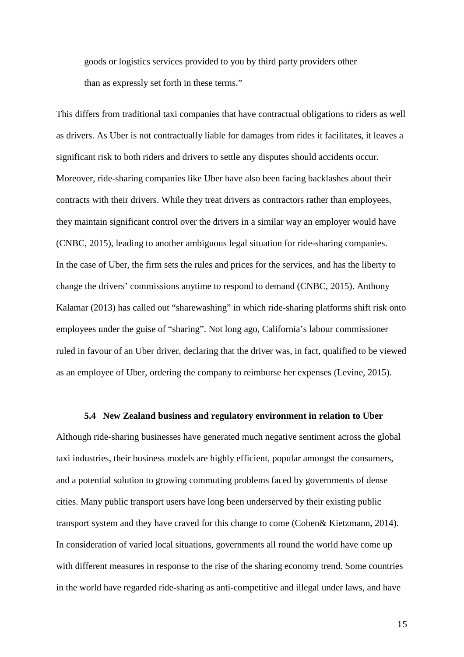goods or logistics services provided to you by third party providers other than as expressly set forth in these terms."

This differs from traditional taxi companies that have contractual obligations to riders as well as drivers. As Uber is not contractually liable for damages from rides it facilitates, it leaves a significant risk to both riders and drivers to settle any disputes should accidents occur. Moreover, ride-sharing companies like Uber have also been facing backlashes about their contracts with their drivers. While they treat drivers as contractors rather than employees, they maintain significant control over the drivers in a similar way an employer would have (CNBC, 2015), leading to another ambiguous legal situation for ride-sharing companies. In the case of Uber, the firm sets the rules and prices for the services, and has the liberty to change the drivers' commissions anytime to respond to demand (CNBC, 2015). Anthony Kalamar (2013) has called out "sharewashing" in which ride-sharing platforms shift risk onto employees under the guise of "sharing". Not long ago, California's labour commissioner ruled in favour of an Uber driver, declaring that the driver was, in fact, qualified to be viewed as an employee of Uber, ordering the company to reimburse her expenses (Levine, 2015).

#### **5.4 New Zealand business and regulatory environment in relation to Uber**

Although ride-sharing businesses have generated much negative sentiment across the global taxi industries, their business models are highly efficient, popular amongst the consumers, and a potential solution to growing commuting problems faced by governments of dense cities. Many public transport users have long been underserved by their existing public transport system and they have craved for this change to come (Cohen& Kietzmann, 2014). In consideration of varied local situations, governments all round the world have come up with different measures in response to the rise of the sharing economy trend. Some countries in the world have regarded ride-sharing as anti-competitive and illegal under laws, and have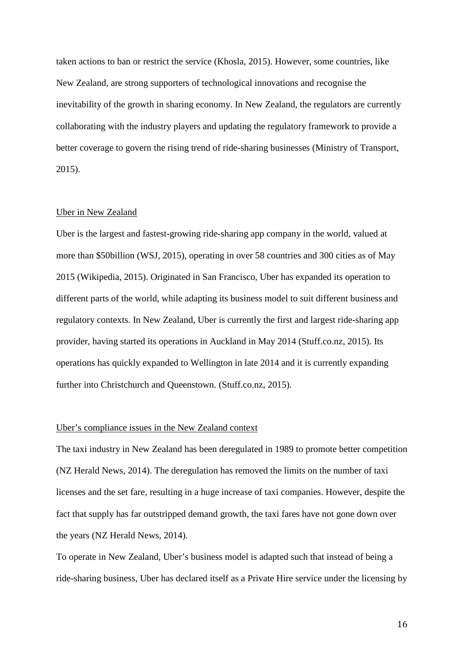taken actions to ban or restrict the service (Khosla, 2015). However, some countries, like New Zealand, are strong supporters of technological innovations and recognise the inevitability of the growth in sharing economy. In New Zealand, the regulators are currently collaborating with the industry players and updating the regulatory framework to provide a better coverage to govern the rising trend of ride-sharing businesses (Ministry of Transport, 2015).

#### Uber in New Zealand

Uber is the largest and fastest-growing ride-sharing app company in the world, valued at more than \$50billion (WSJ, 2015), operating in over 58 countries and 300 cities as of May 2015 (Wikipedia, 2015). Originated in San Francisco, Uber has expanded its operation to different parts of the world, while adapting its business model to suit different business and regulatory contexts. In New Zealand, Uber is currently the first and largest ride-sharing app provider, having started its operations in Auckland in May 2014 (Stuff.co.nz, 2015). Its operations has quickly expanded to Wellington in late 2014 and it is currently expanding further into Christchurch and Queenstown. (Stuff.co.nz, 2015).

#### Uber's compliance issues in the New Zealand context

The taxi industry in New Zealand has been deregulated in 1989 to promote better competition (NZ Herald News, 2014). The deregulation has removed the limits on the number of taxi licenses and the set fare, resulting in a huge increase of taxi companies. However, despite the fact that supply has far outstripped demand growth, the taxi fares have not gone down over the years (NZ Herald News, 2014).

To operate in New Zealand, Uber's business model is adapted such that instead of being a ride-sharing business, Uber has declared itself as a Private Hire service under the licensing by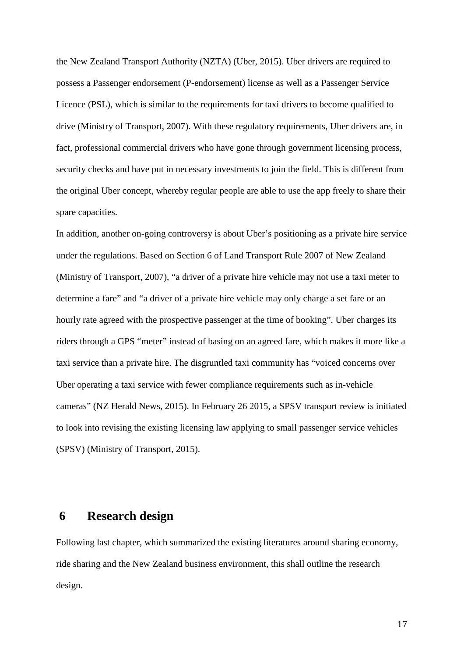the New Zealand Transport Authority (NZTA) (Uber, 2015). Uber drivers are required to possess a Passenger endorsement (P-endorsement) license as well as a Passenger Service Licence (PSL), which is similar to the requirements for taxi drivers to become qualified to drive (Ministry of Transport, 2007). With these regulatory requirements, Uber drivers are, in fact, professional commercial drivers who have gone through government licensing process, security checks and have put in necessary investments to join the field. This is different from the original Uber concept, whereby regular people are able to use the app freely to share their spare capacities.

In addition, another on-going controversy is about Uber's positioning as a private hire service under the regulations. Based on Section 6 of Land Transport Rule 2007 of New Zealand (Ministry of Transport, 2007), "a driver of a private hire vehicle may not use a taxi meter to determine a fare" and "a driver of a private hire vehicle may only charge a set fare or an hourly rate agreed with the prospective passenger at the time of booking". Uber charges its riders through a GPS "meter" instead of basing on an agreed fare, which makes it more like a taxi service than a private hire. The disgruntled taxi community has "voiced concerns over Uber operating a taxi service with fewer compliance requirements such as in-vehicle cameras" (NZ Herald News, 2015). In February 26 2015, a SPSV transport review is initiated to look into revising the existing licensing law applying to small passenger service vehicles (SPSV) (Ministry of Transport, 2015).

## **6 Research design**

Following last chapter, which summarized the existing literatures around sharing economy, ride sharing and the New Zealand business environment, this shall outline the research design.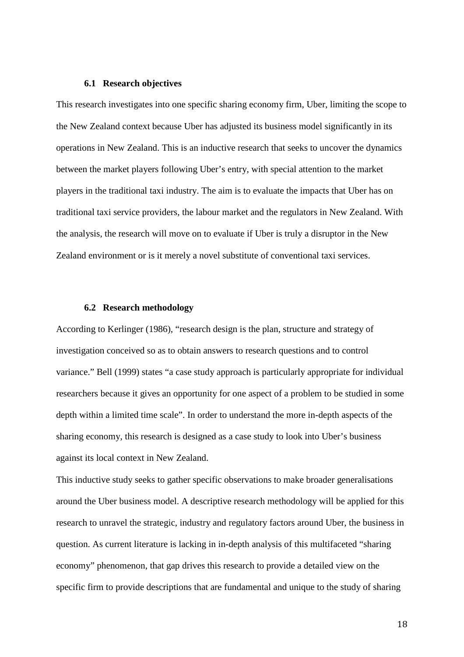#### **6.1 Research objectives**

This research investigates into one specific sharing economy firm, Uber, limiting the scope to the New Zealand context because Uber has adjusted its business model significantly in its operations in New Zealand. This is an inductive research that seeks to uncover the dynamics between the market players following Uber's entry, with special attention to the market players in the traditional taxi industry. The aim is to evaluate the impacts that Uber has on traditional taxi service providers, the labour market and the regulators in New Zealand. With the analysis, the research will move on to evaluate if Uber is truly a disruptor in the New Zealand environment or is it merely a novel substitute of conventional taxi services.

#### **6.2 Research methodology**

According to Kerlinger (1986), "research design is the plan, structure and strategy of investigation conceived so as to obtain answers to research questions and to control variance." Bell (1999) states "a case study approach is particularly appropriate for individual researchers because it gives an opportunity for one aspect of a problem to be studied in some depth within a limited time scale". In order to understand the more in-depth aspects of the sharing economy, this research is designed as a case study to look into Uber's business against its local context in New Zealand.

This inductive study seeks to gather specific observations to make broader generalisations around the Uber business model. A descriptive research methodology will be applied for this research to unravel the strategic, industry and regulatory factors around Uber, the business in question. As current literature is lacking in in-depth analysis of this multifaceted "sharing economy" phenomenon, that gap drives this research to provide a detailed view on the specific firm to provide descriptions that are fundamental and unique to the study of sharing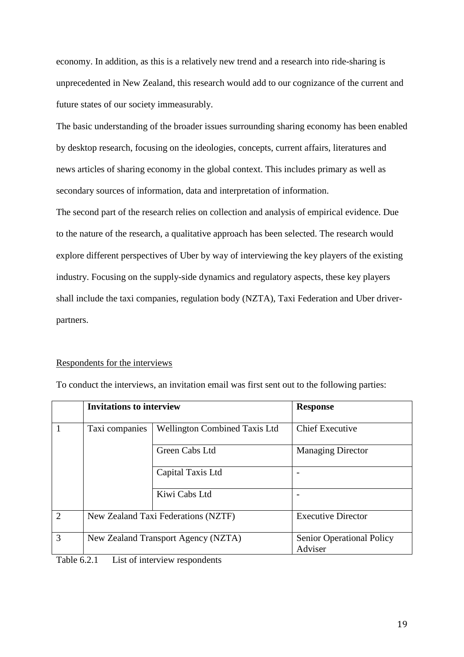economy. In addition, as this is a relatively new trend and a research into ride-sharing is unprecedented in New Zealand, this research would add to our cognizance of the current and future states of our society immeasurably.

The basic understanding of the broader issues surrounding sharing economy has been enabled by desktop research, focusing on the ideologies, concepts, current affairs, literatures and news articles of sharing economy in the global context. This includes primary as well as secondary sources of information, data and interpretation of information.

The second part of the research relies on collection and analysis of empirical evidence. Due to the nature of the research, a qualitative approach has been selected. The research would explore different perspectives of Uber by way of interviewing the key players of the existing industry. Focusing on the supply-side dynamics and regulatory aspects, these key players shall include the taxi companies, regulation body (NZTA), Taxi Federation and Uber driverpartners.

#### Respondents for the interviews

|                                                                         | <b>Invitations to interview</b>     |                                      | <b>Response</b>                             |  |  |
|-------------------------------------------------------------------------|-------------------------------------|--------------------------------------|---------------------------------------------|--|--|
| 1                                                                       | Taxi companies                      | <b>Wellington Combined Taxis Ltd</b> | <b>Chief Executive</b>                      |  |  |
|                                                                         |                                     | Green Cabs Ltd                       | <b>Managing Director</b>                    |  |  |
|                                                                         |                                     | Capital Taxis Ltd                    |                                             |  |  |
|                                                                         |                                     | Kiwi Cabs Ltd                        |                                             |  |  |
| $\overline{2}$                                                          | New Zealand Taxi Federations (NZTF) |                                      | <b>Executive Director</b>                   |  |  |
| $\overline{3}$                                                          |                                     | New Zealand Transport Agency (NZTA)  | <b>Senior Operational Policy</b><br>Adviser |  |  |
| $\mathbf{m}$ ii $\epsilon \wedge i$ $\mathbf{r}$ : $\epsilon$ : $\cdot$ |                                     |                                      |                                             |  |  |

To conduct the interviews, an invitation email was first sent out to the following parties:

Table 6.2.1 List of interview respondents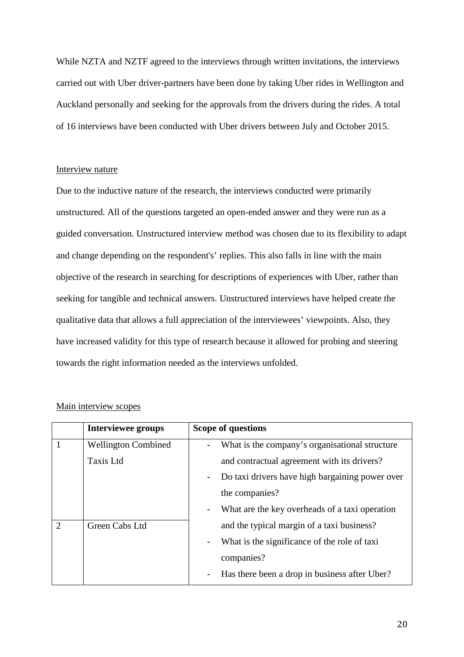While NZTA and NZTF agreed to the interviews through written invitations, the interviews carried out with Uber driver-partners have been done by taking Uber rides in Wellington and Auckland personally and seeking for the approvals from the drivers during the rides. A total of 16 interviews have been conducted with Uber drivers between July and October 2015.

#### Interview nature

Due to the inductive nature of the research, the interviews conducted were primarily unstructured. All of the questions targeted an open-ended answer and they were run as a guided conversation. Unstructured interview method was chosen due to its flexibility to adapt and change depending on the respondent's' replies. This also falls in line with the main objective of the research in searching for descriptions of experiences with Uber, rather than seeking for tangible and technical answers. Unstructured interviews have helped create the qualitative data that allows a full appreciation of the interviewees' viewpoints. Also, they have increased validity for this type of research because it allowed for probing and steering towards the right information needed as the interviews unfolded.

|                | <b>Interviewee groups</b>  | Scope of questions                                                          |
|----------------|----------------------------|-----------------------------------------------------------------------------|
|                | <b>Wellington Combined</b> | What is the company's organisational structure                              |
|                | <b>Taxis Ltd</b>           | and contractual agreement with its drivers?                                 |
|                |                            | Do taxi drivers have high bargaining power over<br>$\overline{\phantom{0}}$ |
|                |                            | the companies?                                                              |
|                |                            | What are the key overheads of a taxi operation<br>$\overline{\phantom{a}}$  |
| $\overline{2}$ | Green Cabs Ltd             | and the typical margin of a taxi business?                                  |
|                |                            | What is the significance of the role of taxi                                |
|                |                            | companies?                                                                  |
|                |                            | Has there been a drop in business after Uber?<br>$\overline{\phantom{a}}$   |

#### Main interview scopes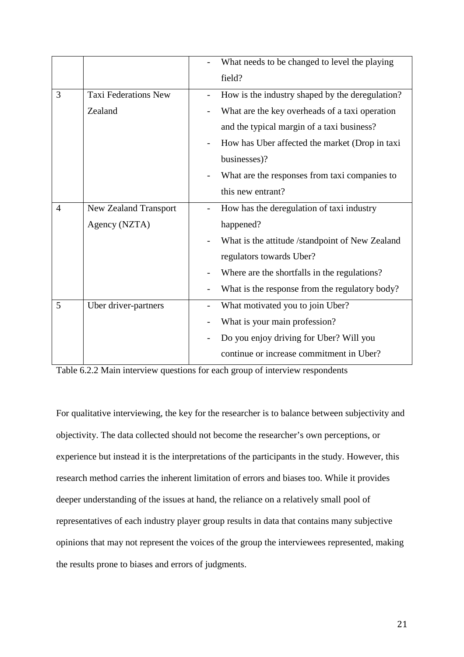|                |                              | What needs to be changed to level the playing   |
|----------------|------------------------------|-------------------------------------------------|
|                |                              | field?                                          |
| 3              | <b>Taxi Federations New</b>  | How is the industry shaped by the deregulation? |
|                | Zealand                      | What are the key overheads of a taxi operation  |
|                |                              | and the typical margin of a taxi business?      |
|                |                              | How has Uber affected the market (Drop in taxi  |
|                |                              | businesses)?                                    |
|                |                              | What are the responses from taxi companies to   |
|                |                              | this new entrant?                               |
| $\overline{4}$ | <b>New Zealand Transport</b> | How has the deregulation of taxi industry       |
|                | Agency (NZTA)                | happened?                                       |
|                |                              | What is the attitude /standpoint of New Zealand |
|                |                              | regulators towards Uber?                        |
|                |                              | Where are the shortfalls in the regulations?    |
|                |                              | What is the response from the regulatory body?  |
| 5              | Uber driver-partners         | What motivated you to join Uber?                |
|                |                              | What is your main profession?                   |
|                |                              | Do you enjoy driving for Uber? Will you         |
|                |                              | continue or increase commitment in Uber?        |

Table 6.2.2 Main interview questions for each group of interview respondents

For qualitative interviewing, the key for the researcher is to balance between subjectivity and objectivity. The data collected should not become the researcher's own perceptions, or experience but instead it is the interpretations of the participants in the study. However, this research method carries the inherent limitation of errors and biases too. While it provides deeper understanding of the issues at hand, the reliance on a relatively small pool of representatives of each industry player group results in data that contains many subjective opinions that may not represent the voices of the group the interviewees represented, making the results prone to biases and errors of judgments.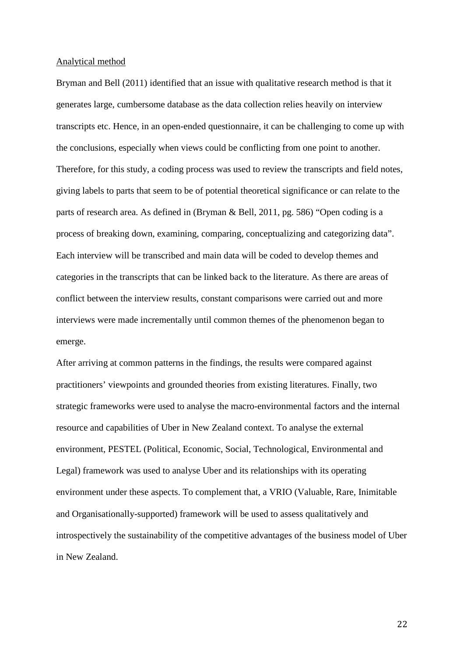#### Analytical method

Bryman and Bell (2011) identified that an issue with qualitative research method is that it generates large, cumbersome database as the data collection relies heavily on interview transcripts etc. Hence, in an open-ended questionnaire, it can be challenging to come up with the conclusions, especially when views could be conflicting from one point to another. Therefore, for this study, a coding process was used to review the transcripts and field notes, giving labels to parts that seem to be of potential theoretical significance or can relate to the parts of research area. As defined in (Bryman & Bell, 2011, pg. 586) "Open coding is a process of breaking down, examining, comparing, conceptualizing and categorizing data". Each interview will be transcribed and main data will be coded to develop themes and categories in the transcripts that can be linked back to the literature. As there are areas of conflict between the interview results, constant comparisons were carried out and more interviews were made incrementally until common themes of the phenomenon began to emerge.

After arriving at common patterns in the findings, the results were compared against practitioners' viewpoints and grounded theories from existing literatures. Finally, two strategic frameworks were used to analyse the macro-environmental factors and the internal resource and capabilities of Uber in New Zealand context. To analyse the external environment, PESTEL (Political, Economic, Social, Technological, Environmental and Legal) framework was used to analyse Uber and its relationships with its operating environment under these aspects. To complement that, a VRIO (Valuable, Rare, Inimitable and Organisationally-supported) framework will be used to assess qualitatively and introspectively the sustainability of the competitive advantages of the business model of Uber in New Zealand.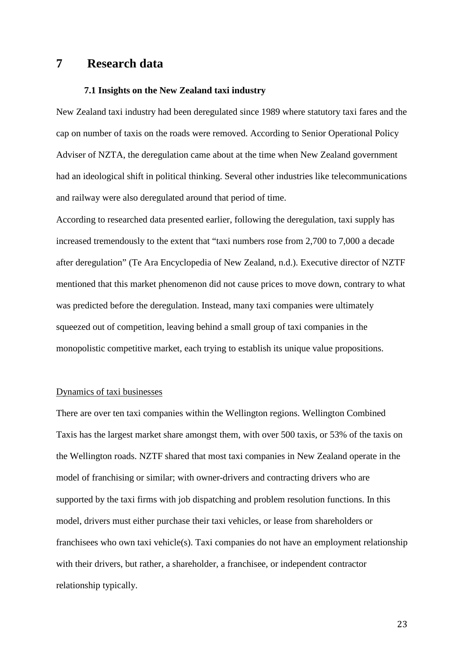### **7 Research data**

#### **7.1 Insights on the New Zealand taxi industry**

New Zealand taxi industry had been deregulated since 1989 where statutory taxi fares and the cap on number of taxis on the roads were removed. According to Senior Operational Policy Adviser of NZTA, the deregulation came about at the time when New Zealand government had an ideological shift in political thinking. Several other industries like telecommunications and railway were also deregulated around that period of time.

According to researched data presented earlier, following the deregulation, taxi supply has increased tremendously to the extent that "taxi numbers rose from 2,700 to 7,000 a decade after deregulation" (Te Ara Encyclopedia of New Zealand, n.d.). Executive director of NZTF mentioned that this market phenomenon did not cause prices to move down, contrary to what was predicted before the deregulation. Instead, many taxi companies were ultimately squeezed out of competition, leaving behind a small group of taxi companies in the monopolistic competitive market, each trying to establish its unique value propositions.

#### Dynamics of taxi businesses

There are over ten taxi companies within the Wellington regions. Wellington Combined Taxis has the largest market share amongst them, with over 500 taxis, or 53% of the taxis on the Wellington roads. NZTF shared that most taxi companies in New Zealand operate in the model of franchising or similar; with owner-drivers and contracting drivers who are supported by the taxi firms with job dispatching and problem resolution functions. In this model, drivers must either purchase their taxi vehicles, or lease from shareholders or franchisees who own taxi vehicle(s). Taxi companies do not have an employment relationship with their drivers, but rather, a shareholder, a franchisee, or independent contractor relationship typically.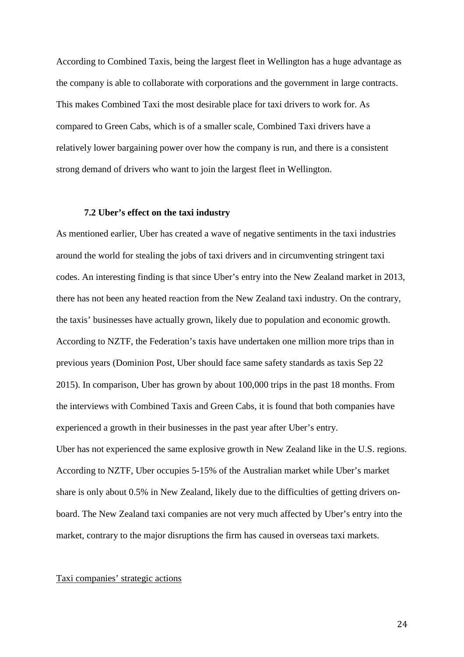According to Combined Taxis, being the largest fleet in Wellington has a huge advantage as the company is able to collaborate with corporations and the government in large contracts. This makes Combined Taxi the most desirable place for taxi drivers to work for. As compared to Green Cabs, which is of a smaller scale, Combined Taxi drivers have a relatively lower bargaining power over how the company is run, and there is a consistent strong demand of drivers who want to join the largest fleet in Wellington.

#### **7.2 Uber's effect on the taxi industry**

As mentioned earlier, Uber has created a wave of negative sentiments in the taxi industries around the world for stealing the jobs of taxi drivers and in circumventing stringent taxi codes. An interesting finding is that since Uber's entry into the New Zealand market in 2013, there has not been any heated reaction from the New Zealand taxi industry. On the contrary, the taxis' businesses have actually grown, likely due to population and economic growth. According to NZTF, the Federation's taxis have undertaken one million more trips than in previous years (Dominion Post, Uber should face same safety standards as taxis Sep 22 2015). In comparison, Uber has grown by about 100,000 trips in the past 18 months. From the interviews with Combined Taxis and Green Cabs, it is found that both companies have experienced a growth in their businesses in the past year after Uber's entry. Uber has not experienced the same explosive growth in New Zealand like in the U.S. regions. According to NZTF, Uber occupies 5-15% of the Australian market while Uber's market share is only about 0.5% in New Zealand, likely due to the difficulties of getting drivers onboard. The New Zealand taxi companies are not very much affected by Uber's entry into the

market, contrary to the major disruptions the firm has caused in overseas taxi markets.

#### Taxi companies' strategic actions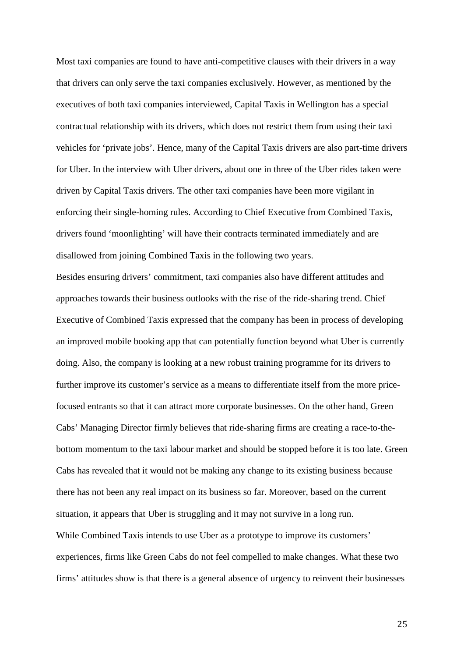Most taxi companies are found to have anti-competitive clauses with their drivers in a way that drivers can only serve the taxi companies exclusively. However, as mentioned by the executives of both taxi companies interviewed, Capital Taxis in Wellington has a special contractual relationship with its drivers, which does not restrict them from using their taxi vehicles for 'private jobs'. Hence, many of the Capital Taxis drivers are also part-time drivers for Uber. In the interview with Uber drivers, about one in three of the Uber rides taken were driven by Capital Taxis drivers. The other taxi companies have been more vigilant in enforcing their single-homing rules. According to Chief Executive from Combined Taxis, drivers found 'moonlighting' will have their contracts terminated immediately and are disallowed from joining Combined Taxis in the following two years.

Besides ensuring drivers' commitment, taxi companies also have different attitudes and approaches towards their business outlooks with the rise of the ride-sharing trend. Chief Executive of Combined Taxis expressed that the company has been in process of developing an improved mobile booking app that can potentially function beyond what Uber is currently doing. Also, the company is looking at a new robust training programme for its drivers to further improve its customer's service as a means to differentiate itself from the more pricefocused entrants so that it can attract more corporate businesses. On the other hand, Green Cabs' Managing Director firmly believes that ride-sharing firms are creating a race-to-thebottom momentum to the taxi labour market and should be stopped before it is too late. Green Cabs has revealed that it would not be making any change to its existing business because there has not been any real impact on its business so far. Moreover, based on the current situation, it appears that Uber is struggling and it may not survive in a long run. While Combined Taxis intends to use Uber as a prototype to improve its customers' experiences, firms like Green Cabs do not feel compelled to make changes. What these two firms' attitudes show is that there is a general absence of urgency to reinvent their businesses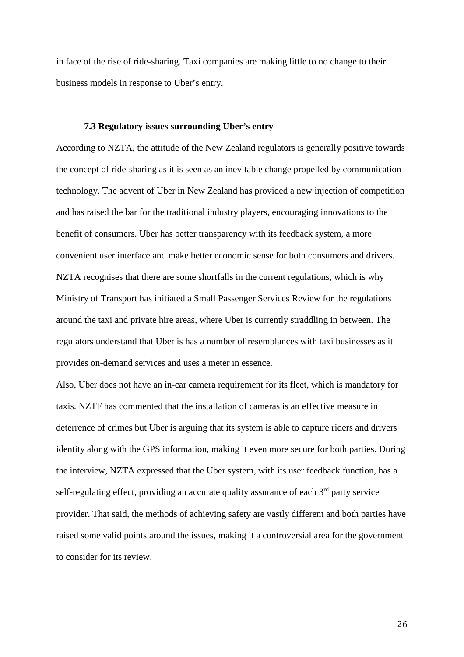in face of the rise of ride-sharing. Taxi companies are making little to no change to their business models in response to Uber's entry.

#### **7.3 Regulatory issues surrounding Uber's entry**

According to NZTA, the attitude of the New Zealand regulators is generally positive towards the concept of ride-sharing as it is seen as an inevitable change propelled by communication technology. The advent of Uber in New Zealand has provided a new injection of competition and has raised the bar for the traditional industry players, encouraging innovations to the benefit of consumers. Uber has better transparency with its feedback system, a more convenient user interface and make better economic sense for both consumers and drivers. NZTA recognises that there are some shortfalls in the current regulations, which is why Ministry of Transport has initiated a Small Passenger Services Review for the regulations around the taxi and private hire areas, where Uber is currently straddling in between. The regulators understand that Uber is has a number of resemblances with taxi businesses as it provides on-demand services and uses a meter in essence.

Also, Uber does not have an in-car camera requirement for its fleet, which is mandatory for taxis. NZTF has commented that the installation of cameras is an effective measure in deterrence of crimes but Uber is arguing that its system is able to capture riders and drivers identity along with the GPS information, making it even more secure for both parties. During the interview, NZTA expressed that the Uber system, with its user feedback function, has a self-regulating effect, providing an accurate quality assurance of each 3<sup>rd</sup> party service provider. That said, the methods of achieving safety are vastly different and both parties have raised some valid points around the issues, making it a controversial area for the government to consider for its review.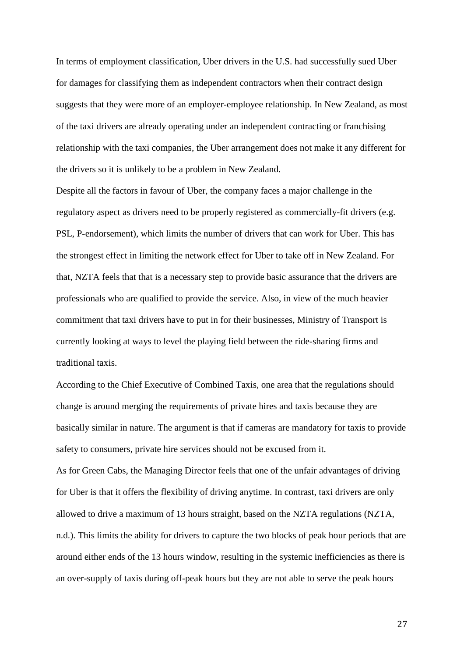In terms of employment classification, Uber drivers in the U.S. had successfully sued Uber for damages for classifying them as independent contractors when their contract design suggests that they were more of an employer-employee relationship. In New Zealand, as most of the taxi drivers are already operating under an independent contracting or franchising relationship with the taxi companies, the Uber arrangement does not make it any different for the drivers so it is unlikely to be a problem in New Zealand.

Despite all the factors in favour of Uber, the company faces a major challenge in the regulatory aspect as drivers need to be properly registered as commercially-fit drivers (e.g. PSL, P-endorsement), which limits the number of drivers that can work for Uber. This has the strongest effect in limiting the network effect for Uber to take off in New Zealand. For that, NZTA feels that that is a necessary step to provide basic assurance that the drivers are professionals who are qualified to provide the service. Also, in view of the much heavier commitment that taxi drivers have to put in for their businesses, Ministry of Transport is currently looking at ways to level the playing field between the ride-sharing firms and traditional taxis.

According to the Chief Executive of Combined Taxis, one area that the regulations should change is around merging the requirements of private hires and taxis because they are basically similar in nature. The argument is that if cameras are mandatory for taxis to provide safety to consumers, private hire services should not be excused from it.

As for Green Cabs, the Managing Director feels that one of the unfair advantages of driving for Uber is that it offers the flexibility of driving anytime. In contrast, taxi drivers are only allowed to drive a maximum of 13 hours straight, based on the NZTA regulations (NZTA, n.d.). This limits the ability for drivers to capture the two blocks of peak hour periods that are around either ends of the 13 hours window, resulting in the systemic inefficiencies as there is an over-supply of taxis during off-peak hours but they are not able to serve the peak hours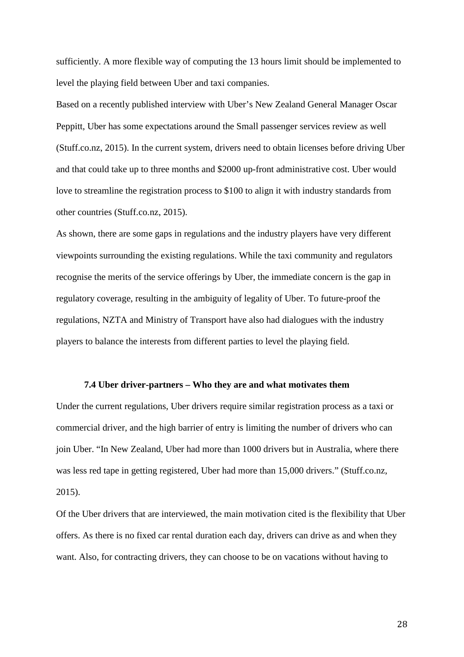sufficiently. A more flexible way of computing the 13 hours limit should be implemented to level the playing field between Uber and taxi companies.

Based on a recently published interview with Uber's New Zealand General Manager Oscar Peppitt, Uber has some expectations around the Small passenger services review as well (Stuff.co.nz, 2015). In the current system, drivers need to obtain licenses before driving Uber and that could take up to three months and \$2000 up-front administrative cost. Uber would love to streamline the registration process to \$100 to align it with industry standards from other countries (Stuff.co.nz, 2015).

As shown, there are some gaps in regulations and the industry players have very different viewpoints surrounding the existing regulations. While the taxi community and regulators recognise the merits of the service offerings by Uber, the immediate concern is the gap in regulatory coverage, resulting in the ambiguity of legality of Uber. To future-proof the regulations, NZTA and Ministry of Transport have also had dialogues with the industry players to balance the interests from different parties to level the playing field.

#### **7.4 Uber driver-partners – Who they are and what motivates them**

Under the current regulations, Uber drivers require similar registration process as a taxi or commercial driver, and the high barrier of entry is limiting the number of drivers who can join Uber. "In New Zealand, Uber had more than 1000 drivers but in Australia, where there was less red tape in getting registered, Uber had more than 15,000 drivers." (Stuff.co.nz, 2015).

Of the Uber drivers that are interviewed, the main motivation cited is the flexibility that Uber offers. As there is no fixed car rental duration each day, drivers can drive as and when they want. Also, for contracting drivers, they can choose to be on vacations without having to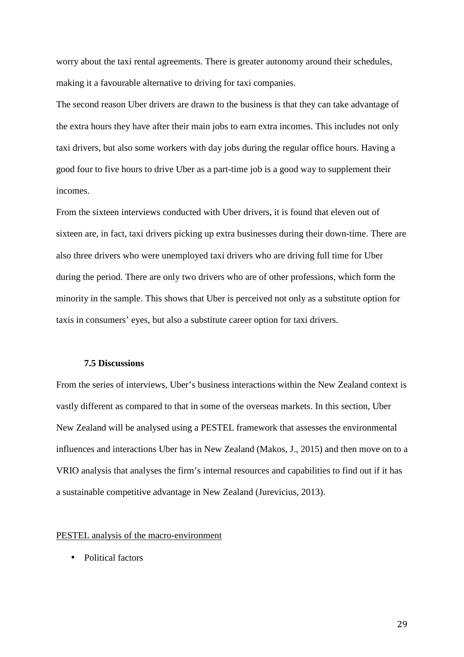worry about the taxi rental agreements. There is greater autonomy around their schedules, making it a favourable alternative to driving for taxi companies.

The second reason Uber drivers are drawn to the business is that they can take advantage of the extra hours they have after their main jobs to earn extra incomes. This includes not only taxi drivers, but also some workers with day jobs during the regular office hours. Having a good four to five hours to drive Uber as a part-time job is a good way to supplement their incomes.

From the sixteen interviews conducted with Uber drivers, it is found that eleven out of sixteen are, in fact, taxi drivers picking up extra businesses during their down-time. There are also three drivers who were unemployed taxi drivers who are driving full time for Uber during the period. There are only two drivers who are of other professions, which form the minority in the sample. This shows that Uber is perceived not only as a substitute option for taxis in consumers' eyes, but also a substitute career option for taxi drivers.

#### **7.5 Discussions**

From the series of interviews, Uber's business interactions within the New Zealand context is vastly different as compared to that in some of the overseas markets. In this section, Uber New Zealand will be analysed using a PESTEL framework that assesses the environmental influences and interactions Uber has in New Zealand (Makos, J., 2015) and then move on to a VRIO analysis that analyses the firm's internal resources and capabilities to find out if it has a sustainable competitive advantage in New Zealand (Jurevicius, 2013).

#### PESTEL analysis of the macro-environment

• Political factors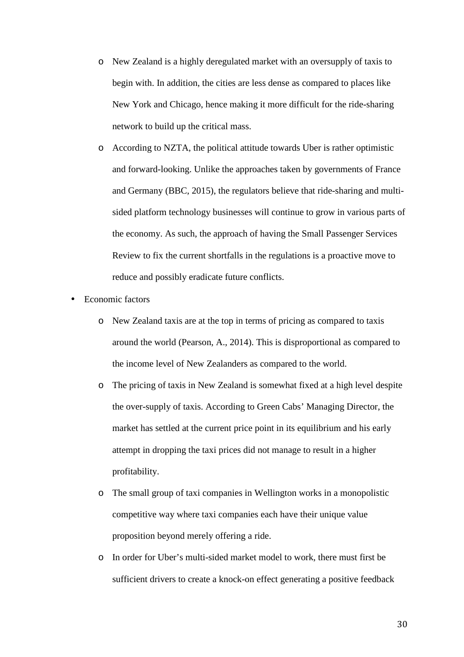- o New Zealand is a highly deregulated market with an oversupply of taxis to begin with. In addition, the cities are less dense as compared to places like New York and Chicago, hence making it more difficult for the ride-sharing network to build up the critical mass.
- o According to NZTA, the political attitude towards Uber is rather optimistic and forward-looking. Unlike the approaches taken by governments of France and Germany (BBC, 2015), the regulators believe that ride-sharing and multisided platform technology businesses will continue to grow in various parts of the economy. As such, the approach of having the Small Passenger Services Review to fix the current shortfalls in the regulations is a proactive move to reduce and possibly eradicate future conflicts.
- Economic factors
	- o New Zealand taxis are at the top in terms of pricing as compared to taxis around the world (Pearson, A., 2014). This is disproportional as compared to the income level of New Zealanders as compared to the world.
	- o The pricing of taxis in New Zealand is somewhat fixed at a high level despite the over-supply of taxis. According to Green Cabs' Managing Director, the market has settled at the current price point in its equilibrium and his early attempt in dropping the taxi prices did not manage to result in a higher profitability.
	- o The small group of taxi companies in Wellington works in a monopolistic competitive way where taxi companies each have their unique value proposition beyond merely offering a ride.
	- o In order for Uber's multi-sided market model to work, there must first be sufficient drivers to create a knock-on effect generating a positive feedback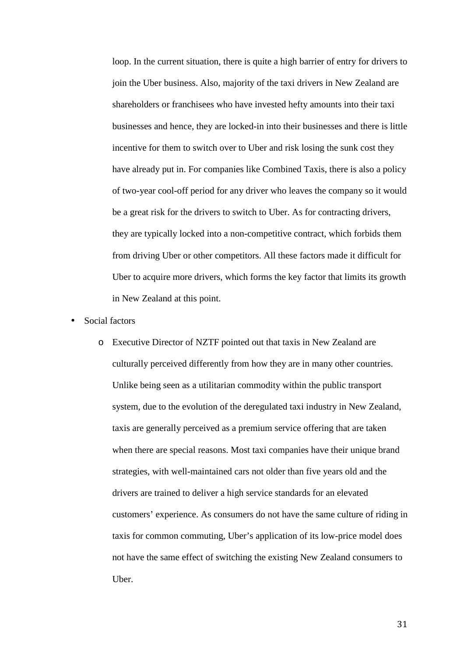loop. In the current situation, there is quite a high barrier of entry for drivers to join the Uber business. Also, majority of the taxi drivers in New Zealand are shareholders or franchisees who have invested hefty amounts into their taxi businesses and hence, they are locked-in into their businesses and there is little incentive for them to switch over to Uber and risk losing the sunk cost they have already put in. For companies like Combined Taxis, there is also a policy of two-year cool-off period for any driver who leaves the company so it would be a great risk for the drivers to switch to Uber. As for contracting drivers, they are typically locked into a non-competitive contract, which forbids them from driving Uber or other competitors. All these factors made it difficult for Uber to acquire more drivers, which forms the key factor that limits its growth in New Zealand at this point.

- Social factors
	- o Executive Director of NZTF pointed out that taxis in New Zealand are culturally perceived differently from how they are in many other countries. Unlike being seen as a utilitarian commodity within the public transport system, due to the evolution of the deregulated taxi industry in New Zealand, taxis are generally perceived as a premium service offering that are taken when there are special reasons. Most taxi companies have their unique brand strategies, with well-maintained cars not older than five years old and the drivers are trained to deliver a high service standards for an elevated customers' experience. As consumers do not have the same culture of riding in taxis for common commuting, Uber's application of its low-price model does not have the same effect of switching the existing New Zealand consumers to Uber.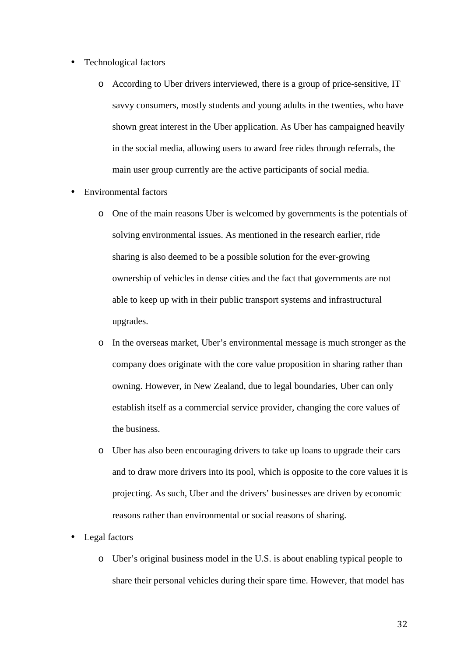- Technological factors
	- o According to Uber drivers interviewed, there is a group of price-sensitive, IT savvy consumers, mostly students and young adults in the twenties, who have shown great interest in the Uber application. As Uber has campaigned heavily in the social media, allowing users to award free rides through referrals, the main user group currently are the active participants of social media.
- Environmental factors
	- o One of the main reasons Uber is welcomed by governments is the potentials of solving environmental issues. As mentioned in the research earlier, ride sharing is also deemed to be a possible solution for the ever-growing ownership of vehicles in dense cities and the fact that governments are not able to keep up with in their public transport systems and infrastructural upgrades.
	- o In the overseas market, Uber's environmental message is much stronger as the company does originate with the core value proposition in sharing rather than owning. However, in New Zealand, due to legal boundaries, Uber can only establish itself as a commercial service provider, changing the core values of the business.
	- o Uber has also been encouraging drivers to take up loans to upgrade their cars and to draw more drivers into its pool, which is opposite to the core values it is projecting. As such, Uber and the drivers' businesses are driven by economic reasons rather than environmental or social reasons of sharing.
- Legal factors
	- o Uber's original business model in the U.S. is about enabling typical people to share their personal vehicles during their spare time. However, that model has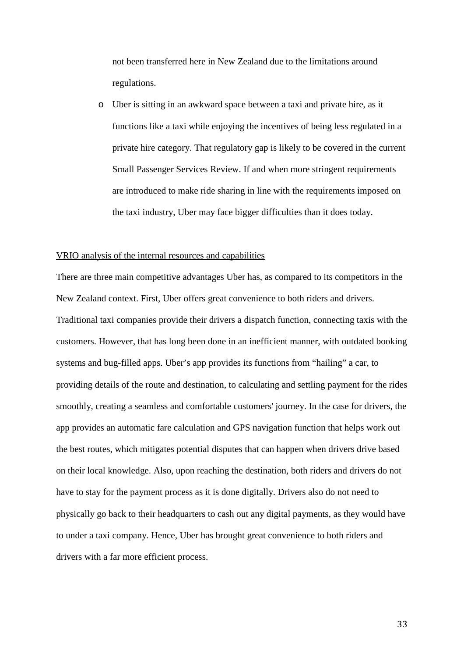not been transferred here in New Zealand due to the limitations around regulations.

o Uber is sitting in an awkward space between a taxi and private hire, as it functions like a taxi while enjoying the incentives of being less regulated in a private hire category. That regulatory gap is likely to be covered in the current Small Passenger Services Review. If and when more stringent requirements are introduced to make ride sharing in line with the requirements imposed on the taxi industry, Uber may face bigger difficulties than it does today.

#### VRIO analysis of the internal resources and capabilities

There are three main competitive advantages Uber has, as compared to its competitors in the New Zealand context. First, Uber offers great convenience to both riders and drivers. Traditional taxi companies provide their drivers a dispatch function, connecting taxis with the customers. However, that has long been done in an inefficient manner, with outdated booking systems and bug-filled apps. Uber's app provides its functions from "hailing" a car, to providing details of the route and destination, to calculating and settling payment for the rides smoothly, creating a seamless and comfortable customers' journey. In the case for drivers, the app provides an automatic fare calculation and GPS navigation function that helps work out the best routes, which mitigates potential disputes that can happen when drivers drive based on their local knowledge. Also, upon reaching the destination, both riders and drivers do not have to stay for the payment process as it is done digitally. Drivers also do not need to physically go back to their headquarters to cash out any digital payments, as they would have to under a taxi company. Hence, Uber has brought great convenience to both riders and drivers with a far more efficient process.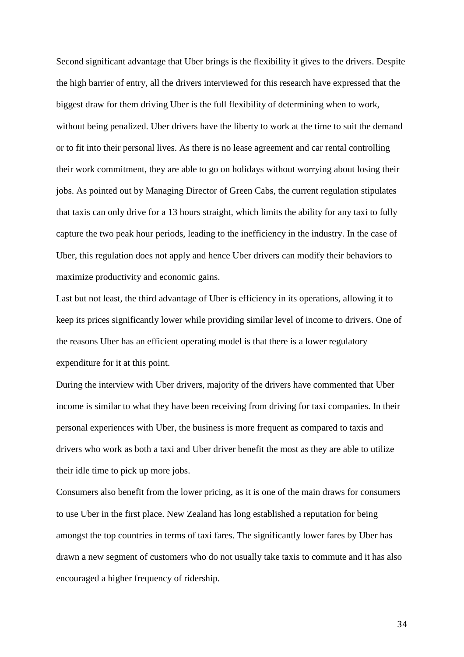Second significant advantage that Uber brings is the flexibility it gives to the drivers. Despite the high barrier of entry, all the drivers interviewed for this research have expressed that the biggest draw for them driving Uber is the full flexibility of determining when to work, without being penalized. Uber drivers have the liberty to work at the time to suit the demand or to fit into their personal lives. As there is no lease agreement and car rental controlling their work commitment, they are able to go on holidays without worrying about losing their jobs. As pointed out by Managing Director of Green Cabs, the current regulation stipulates that taxis can only drive for a 13 hours straight, which limits the ability for any taxi to fully capture the two peak hour periods, leading to the inefficiency in the industry. In the case of Uber, this regulation does not apply and hence Uber drivers can modify their behaviors to maximize productivity and economic gains.

Last but not least, the third advantage of Uber is efficiency in its operations, allowing it to keep its prices significantly lower while providing similar level of income to drivers. One of the reasons Uber has an efficient operating model is that there is a lower regulatory expenditure for it at this point.

During the interview with Uber drivers, majority of the drivers have commented that Uber income is similar to what they have been receiving from driving for taxi companies. In their personal experiences with Uber, the business is more frequent as compared to taxis and drivers who work as both a taxi and Uber driver benefit the most as they are able to utilize their idle time to pick up more jobs.

Consumers also benefit from the lower pricing, as it is one of the main draws for consumers to use Uber in the first place. New Zealand has long established a reputation for being amongst the top countries in terms of taxi fares. The significantly lower fares by Uber has drawn a new segment of customers who do not usually take taxis to commute and it has also encouraged a higher frequency of ridership.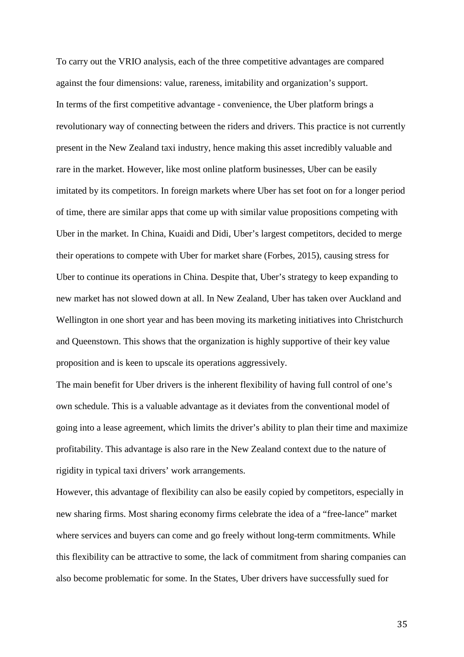To carry out the VRIO analysis, each of the three competitive advantages are compared against the four dimensions: value, rareness, imitability and organization's support. In terms of the first competitive advantage - convenience, the Uber platform brings a revolutionary way of connecting between the riders and drivers. This practice is not currently present in the New Zealand taxi industry, hence making this asset incredibly valuable and rare in the market. However, like most online platform businesses, Uber can be easily imitated by its competitors. In foreign markets where Uber has set foot on for a longer period of time, there are similar apps that come up with similar value propositions competing with Uber in the market. In China, Kuaidi and Didi, Uber's largest competitors, decided to merge their operations to compete with Uber for market share (Forbes, 2015), causing stress for Uber to continue its operations in China. Despite that, Uber's strategy to keep expanding to new market has not slowed down at all. In New Zealand, Uber has taken over Auckland and Wellington in one short year and has been moving its marketing initiatives into Christchurch and Queenstown. This shows that the organization is highly supportive of their key value proposition and is keen to upscale its operations aggressively.

The main benefit for Uber drivers is the inherent flexibility of having full control of one's own schedule. This is a valuable advantage as it deviates from the conventional model of going into a lease agreement, which limits the driver's ability to plan their time and maximize profitability. This advantage is also rare in the New Zealand context due to the nature of rigidity in typical taxi drivers' work arrangements.

However, this advantage of flexibility can also be easily copied by competitors, especially in new sharing firms. Most sharing economy firms celebrate the idea of a "free-lance" market where services and buyers can come and go freely without long-term commitments. While this flexibility can be attractive to some, the lack of commitment from sharing companies can also become problematic for some. In the States, Uber drivers have successfully sued for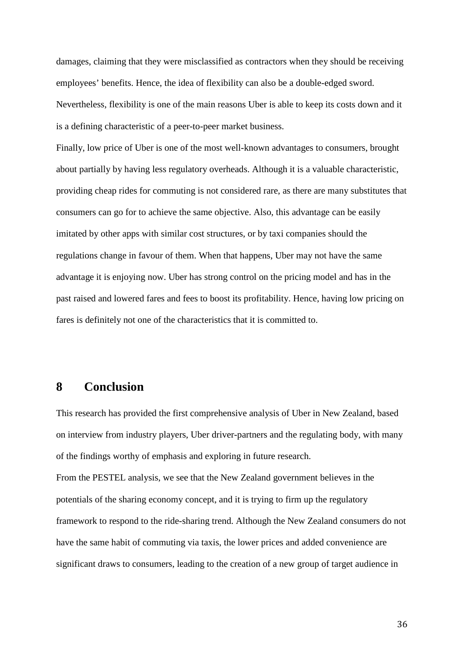damages, claiming that they were misclassified as contractors when they should be receiving employees' benefits. Hence, the idea of flexibility can also be a double-edged sword. Nevertheless, flexibility is one of the main reasons Uber is able to keep its costs down and it is a defining characteristic of a peer-to-peer market business.

Finally, low price of Uber is one of the most well-known advantages to consumers, brought about partially by having less regulatory overheads. Although it is a valuable characteristic, providing cheap rides for commuting is not considered rare, as there are many substitutes that consumers can go for to achieve the same objective. Also, this advantage can be easily imitated by other apps with similar cost structures, or by taxi companies should the regulations change in favour of them. When that happens, Uber may not have the same advantage it is enjoying now. Uber has strong control on the pricing model and has in the past raised and lowered fares and fees to boost its profitability. Hence, having low pricing on fares is definitely not one of the characteristics that it is committed to.

## **8 Conclusion**

This research has provided the first comprehensive analysis of Uber in New Zealand, based on interview from industry players, Uber driver-partners and the regulating body, with many of the findings worthy of emphasis and exploring in future research.

From the PESTEL analysis, we see that the New Zealand government believes in the potentials of the sharing economy concept, and it is trying to firm up the regulatory framework to respond to the ride-sharing trend. Although the New Zealand consumers do not have the same habit of commuting via taxis, the lower prices and added convenience are significant draws to consumers, leading to the creation of a new group of target audience in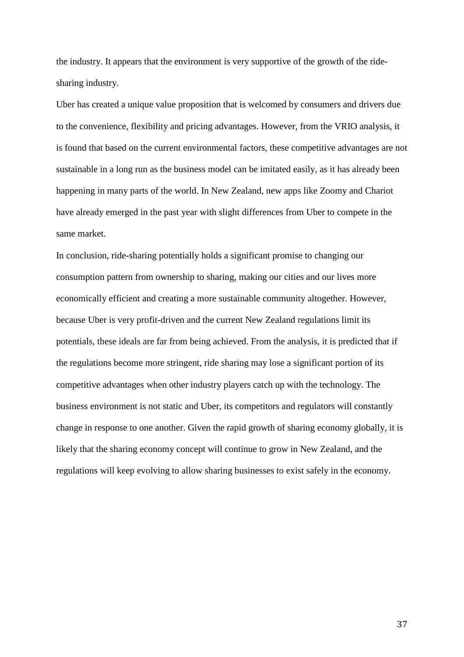the industry. It appears that the environment is very supportive of the growth of the ridesharing industry.

Uber has created a unique value proposition that is welcomed by consumers and drivers due to the convenience, flexibility and pricing advantages. However, from the VRIO analysis, it is found that based on the current environmental factors, these competitive advantages are not sustainable in a long run as the business model can be imitated easily, as it has already been happening in many parts of the world. In New Zealand, new apps like Zoomy and Chariot have already emerged in the past year with slight differences from Uber to compete in the same market.

In conclusion, ride-sharing potentially holds a significant promise to changing our consumption pattern from ownership to sharing, making our cities and our lives more economically efficient and creating a more sustainable community altogether. However, because Uber is very profit-driven and the current New Zealand regulations limit its potentials, these ideals are far from being achieved. From the analysis, it is predicted that if the regulations become more stringent, ride sharing may lose a significant portion of its competitive advantages when other industry players catch up with the technology. The business environment is not static and Uber, its competitors and regulators will constantly change in response to one another. Given the rapid growth of sharing economy globally, it is likely that the sharing economy concept will continue to grow in New Zealand, and the regulations will keep evolving to allow sharing businesses to exist safely in the economy.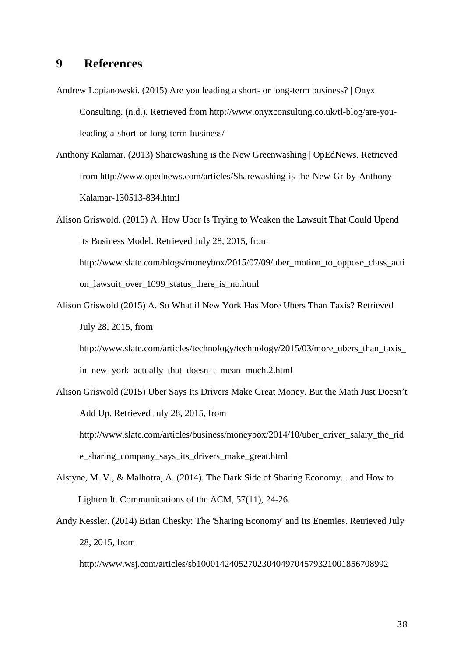## **9 References**

- Andrew Lopianowski. (2015) Are you leading a short- or long-term business? | Onyx Consulting. (n.d.). Retrieved from http://www.onyxconsulting.co.uk/tl-blog/are-youleading-a-short-or-long-term-business/
- Anthony Kalamar. (2013) Sharewashing is the New Greenwashing | OpEdNews. Retrieved from http://www.opednews.com/articles/Sharewashing-is-the-New-Gr-by-Anthony-Kalamar-130513-834.html
- Alison Griswold. (2015) A. How Uber Is Trying to Weaken the Lawsuit That Could Upend Its Business Model. Retrieved July 28, 2015, from http://www.slate.com/blogs/moneybox/2015/07/09/uber\_motion\_to\_oppose\_class\_acti on\_lawsuit\_over\_1099\_status\_there\_is\_no.html
- Alison Griswold (2015) A. So What if New York Has More Ubers Than Taxis? Retrieved July 28, 2015, from

http://www.slate.com/articles/technology/technology/2015/03/more\_ubers\_than\_taxis\_ in\_new\_york\_actually\_that\_doesn\_t\_mean\_much.2.html

Alison Griswold (2015) Uber Says Its Drivers Make Great Money. But the Math Just Doesn't Add Up. Retrieved July 28, 2015, from

http://www.slate.com/articles/business/moneybox/2014/10/uber\_driver\_salary\_the\_rid e\_sharing\_company\_says\_its\_drivers\_make\_great.html

- Alstyne, M. V., & Malhotra, A. (2014). The Dark Side of Sharing Economy... and How to Lighten It. Communications of the ACM, 57(11), 24-26.
- Andy Kessler. (2014) Brian Chesky: The 'Sharing Economy' and Its Enemies. Retrieved July 28, 2015, from

http://www.wsj.com/articles/sb10001424052702304049704579321001856708992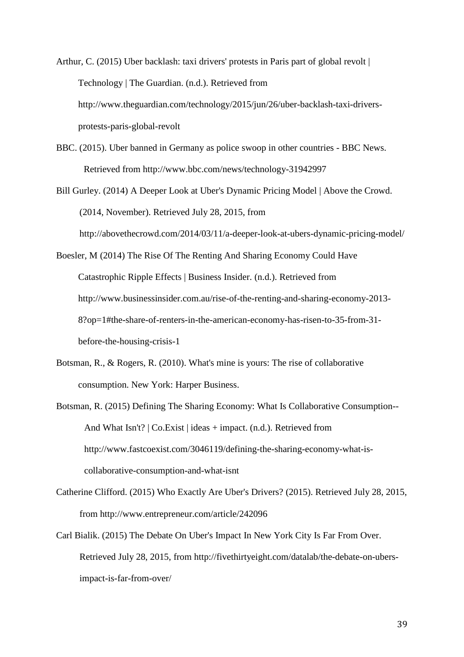Arthur, C. (2015) Uber backlash: taxi drivers' protests in Paris part of global revolt | Technology | The Guardian. (n.d.). Retrieved from http://www.theguardian.com/technology/2015/jun/26/uber-backlash-taxi-driversprotests-paris-global-revolt

- BBC. (2015). Uber banned in Germany as police swoop in other countries BBC News. Retrieved from http://www.bbc.com/news/technology-31942997
- Bill Gurley. (2014) A Deeper Look at Uber's Dynamic Pricing Model | Above the Crowd. (2014, November). Retrieved July 28, 2015, from

http://abovethecrowd.com/2014/03/11/a-deeper-look-at-ubers-dynamic-pricing-model/

Boesler, M (2014) The Rise Of The Renting And Sharing Economy Could Have Catastrophic Ripple Effects | Business Insider. (n.d.). Retrieved from http://www.businessinsider.com.au/rise-of-the-renting-and-sharing-economy-2013- 8?op=1#the-share-of-renters-in-the-american-economy-has-risen-to-35-from-31 before-the-housing-crisis-1

- Botsman, R., & Rogers, R. (2010). What's mine is yours: The rise of collaborative consumption. New York: Harper Business.
- Botsman, R. (2015) Defining The Sharing Economy: What Is Collaborative Consumption-- And What Isn't? | Co.Exist | ideas + impact. (n.d.). Retrieved from http://www.fastcoexist.com/3046119/defining-the-sharing-economy-what-iscollaborative-consumption-and-what-isnt
- Catherine Clifford. (2015) Who Exactly Are Uber's Drivers? (2015). Retrieved July 28, 2015, from http://www.entrepreneur.com/article/242096
- Carl Bialik. (2015) The Debate On Uber's Impact In New York City Is Far From Over. Retrieved July 28, 2015, from http://fivethirtyeight.com/datalab/the-debate-on-ubersimpact-is-far-from-over/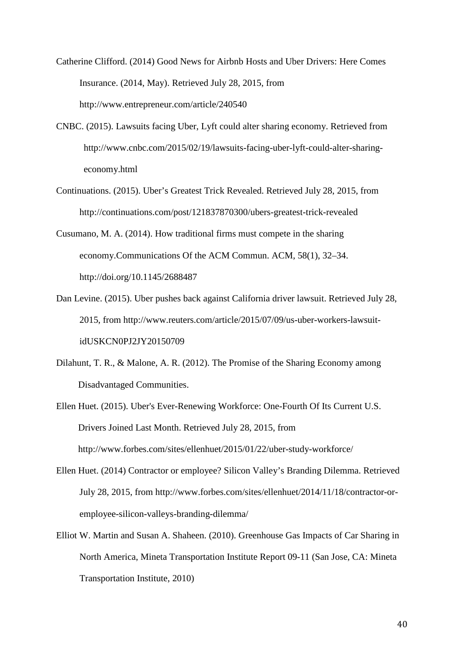Catherine Clifford. (2014) Good News for Airbnb Hosts and Uber Drivers: Here Comes Insurance. (2014, May). Retrieved July 28, 2015, from http://www.entrepreneur.com/article/240540

- CNBC. (2015). Lawsuits facing Uber, Lyft could alter sharing economy. Retrieved from http://www.cnbc.com/2015/02/19/lawsuits-facing-uber-lyft-could-alter-sharingeconomy.html
- Continuations. (2015). Uber's Greatest Trick Revealed. Retrieved July 28, 2015, from http://continuations.com/post/121837870300/ubers-greatest-trick-revealed
- Cusumano, M. A. (2014). How traditional firms must compete in the sharing economy.Communications Of the ACM Commun. ACM, 58(1), 32–34. http://doi.org/10.1145/2688487
- Dan Levine. (2015). Uber pushes back against California driver lawsuit. Retrieved July 28, 2015, from http://www.reuters.com/article/2015/07/09/us-uber-workers-lawsuitidUSKCN0PJ2JY20150709
- Dilahunt, T. R., & Malone, A. R. (2012). The Promise of the Sharing Economy among Disadvantaged Communities.
- Ellen Huet. (2015). Uber's Ever-Renewing Workforce: One-Fourth Of Its Current U.S. Drivers Joined Last Month. Retrieved July 28, 2015, from http://www.forbes.com/sites/ellenhuet/2015/01/22/uber-study-workforce/
- Ellen Huet. (2014) Contractor or employee? Silicon Valley's Branding Dilemma. Retrieved July 28, 2015, from http://www.forbes.com/sites/ellenhuet/2014/11/18/contractor-oremployee-silicon-valleys-branding-dilemma/
- Elliot W. Martin and Susan A. Shaheen. (2010). Greenhouse Gas Impacts of Car Sharing in North America, Mineta Transportation Institute Report 09-11 (San Jose, CA: Mineta Transportation Institute, 2010)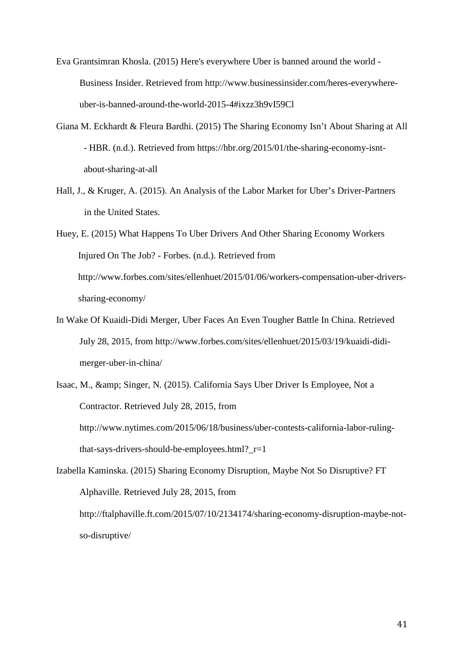Eva Grantsimran Khosla. (2015) Here's everywhere Uber is banned around the world - Business Insider. Retrieved from http://www.businessinsider.com/heres-everywhereuber-is-banned-around-the-world-2015-4#ixzz3h9vI59Cl

- Giana M. Eckhardt & Fleura Bardhi. (2015) The Sharing Economy Isn't About Sharing at All - HBR. (n.d.). Retrieved from https://hbr.org/2015/01/the-sharing-economy-isntabout-sharing-at-all
- Hall, J., & Kruger, A. (2015). An Analysis of the Labor Market for Uber's Driver-Partners in the United States.

Huey, E. (2015) What Happens To Uber Drivers And Other Sharing Economy Workers Injured On The Job? - Forbes. (n.d.). Retrieved from http://www.forbes.com/sites/ellenhuet/2015/01/06/workers-compensation-uber-driverssharing-economy/

- In Wake Of Kuaidi-Didi Merger, Uber Faces An Even Tougher Battle In China. Retrieved July 28, 2015, from http://www.forbes.com/sites/ellenhuet/2015/03/19/kuaidi-didimerger-uber-in-china/
- Isaac, M., & amp; Singer, N. (2015). California Says Uber Driver Is Employee, Not a Contractor. Retrieved July 28, 2015, from http://www.nytimes.com/2015/06/18/business/uber-contests-california-labor-rulingthat-says-drivers-should-be-employees.html?\_r=1

Izabella Kaminska. (2015) Sharing Economy Disruption, Maybe Not So Disruptive? FT Alphaville. Retrieved July 28, 2015, from http://ftalphaville.ft.com/2015/07/10/2134174/sharing-economy-disruption-maybe-notso-disruptive/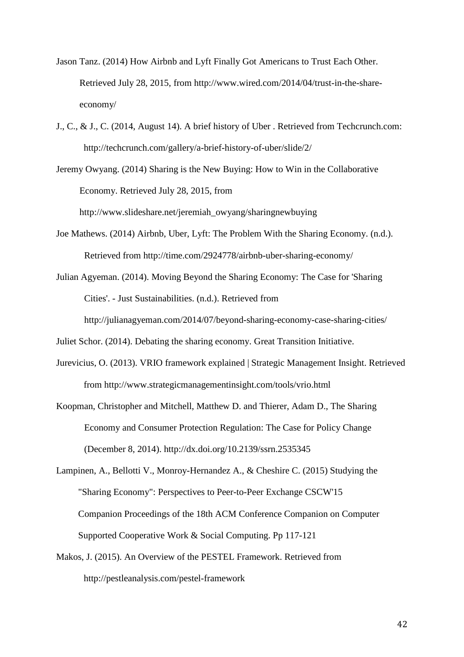- Jason Tanz. (2014) How Airbnb and Lyft Finally Got Americans to Trust Each Other. Retrieved July 28, 2015, from http://www.wired.com/2014/04/trust-in-the-shareeconomy/
- J., C., & J., C. (2014, August 14). A brief history of Uber . Retrieved from Techcrunch.com: http://techcrunch.com/gallery/a-brief-history-of-uber/slide/2/
- Jeremy Owyang. (2014) Sharing is the New Buying: How to Win in the Collaborative Economy. Retrieved July 28, 2015, from

http://www.slideshare.net/jeremiah\_owyang/sharingnewbuying

- Joe Mathews. (2014) Airbnb, Uber, Lyft: The Problem With the Sharing Economy. (n.d.). Retrieved from http://time.com/2924778/airbnb-uber-sharing-economy/
- Julian Agyeman. (2014). Moving Beyond the Sharing Economy: The Case for 'Sharing Cities'. - Just Sustainabilities. (n.d.). Retrieved from

http://julianagyeman.com/2014/07/beyond-sharing-economy-case-sharing-cities/

Juliet Schor. (2014). Debating the sharing economy. Great Transition Initiative.

- Jurevicius, O. (2013). VRIO framework explained | Strategic Management Insight. Retrieved from http://www.strategicmanagementinsight.com/tools/vrio.html
- Koopman, Christopher and Mitchell, Matthew D. and Thierer, Adam D., The Sharing Economy and Consumer Protection Regulation: The Case for Policy Change (December 8, 2014). http://dx.doi.org/10.2139/ssrn.2535345
- Lampinen, A., Bellotti V., Monroy-Hernandez A., & Cheshire C. (2015) Studying the "Sharing Economy": Perspectives to Peer-to-Peer Exchange CSCW'15 Companion Proceedings of the 18th ACM Conference Companion on Computer Supported Cooperative Work & Social Computing. Pp 117-121
- Makos, J. (2015). An Overview of the PESTEL Framework. Retrieved from http://pestleanalysis.com/pestel-framework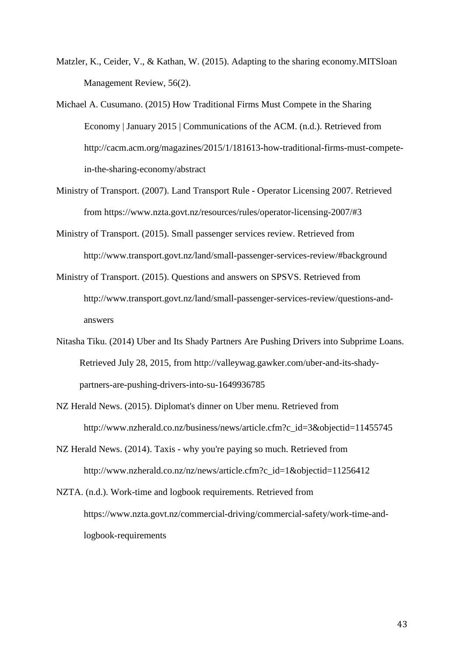- Matzler, K., Ceider, V., & Kathan, W. (2015). Adapting to the sharing economy.MITSloan Management Review, 56(2).
- Michael A. Cusumano. (2015) How Traditional Firms Must Compete in the Sharing Economy | January 2015 | Communications of the ACM. (n.d.). Retrieved from http://cacm.acm.org/magazines/2015/1/181613-how-traditional-firms-must-competein-the-sharing-economy/abstract
- Ministry of Transport. (2007). Land Transport Rule Operator Licensing 2007. Retrieved from https://www.nzta.govt.nz/resources/rules/operator-licensing-2007/#3
- Ministry of Transport. (2015). Small passenger services review. Retrieved from http://www.transport.govt.nz/land/small-passenger-services-review/#background
- Ministry of Transport. (2015). Questions and answers on SPSVS. Retrieved from http://www.transport.govt.nz/land/small-passenger-services-review/questions-andanswers
- Nitasha Tiku. (2014) Uber and Its Shady Partners Are Pushing Drivers into Subprime Loans. Retrieved July 28, 2015, from http://valleywag.gawker.com/uber-and-its-shadypartners-are-pushing-drivers-into-su-1649936785
- NZ Herald News. (2015). Diplomat's dinner on Uber menu. Retrieved from http://www.nzherald.co.nz/business/news/article.cfm?c\_id=3&objectid=11455745
- NZ Herald News. (2014). Taxis why you're paying so much. Retrieved from http://www.nzherald.co.nz/nz/news/article.cfm?c\_id=1&objectid=11256412
- NZTA. (n.d.). Work-time and logbook requirements. Retrieved from https://www.nzta.govt.nz/commercial-driving/commercial-safety/work-time-andlogbook-requirements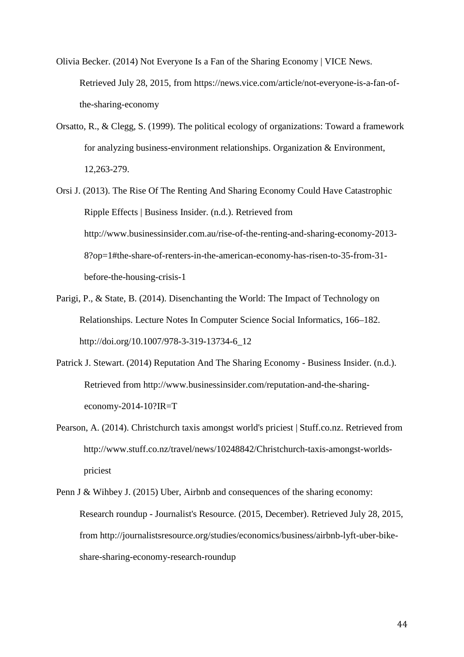- Olivia Becker. (2014) Not Everyone Is a Fan of the Sharing Economy | VICE News. Retrieved July 28, 2015, from https://news.vice.com/article/not-everyone-is-a-fan-ofthe-sharing-economy
- Orsatto, R., & Clegg, S. (1999). The political ecology of organizations: Toward a framework for analyzing business-environment relationships. Organization & Environment, 12,263-279.
- Orsi J. (2013). The Rise Of The Renting And Sharing Economy Could Have Catastrophic Ripple Effects | Business Insider. (n.d.). Retrieved from http://www.businessinsider.com.au/rise-of-the-renting-and-sharing-economy-2013- 8?op=1#the-share-of-renters-in-the-american-economy-has-risen-to-35-from-31 before-the-housing-crisis-1
- Parigi, P., & State, B. (2014). Disenchanting the World: The Impact of Technology on Relationships. Lecture Notes In Computer Science Social Informatics, 166–182. http://doi.org/10.1007/978-3-319-13734-6\_12
- Patrick J. Stewart. (2014) Reputation And The Sharing Economy Business Insider. (n.d.). Retrieved from http://www.businessinsider.com/reputation-and-the-sharingeconomy-2014-10?IR=T
- Pearson, A. (2014). Christchurch taxis amongst world's priciest | Stuff.co.nz. Retrieved from http://www.stuff.co.nz/travel/news/10248842/Christchurch-taxis-amongst-worldspriciest
- Penn J & Wihbey J. (2015) Uber, Airbnb and consequences of the sharing economy: Research roundup - Journalist's Resource. (2015, December). Retrieved July 28, 2015, from http://journalistsresource.org/studies/economics/business/airbnb-lyft-uber-bikeshare-sharing-economy-research-roundup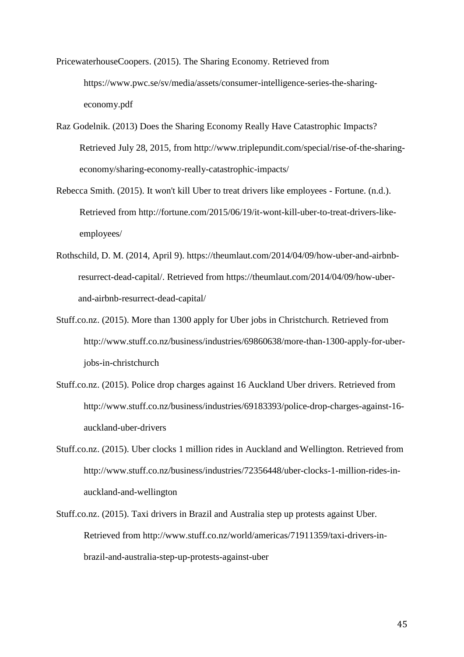PricewaterhouseCoopers. (2015). The Sharing Economy. Retrieved from https://www.pwc.se/sv/media/assets/consumer-intelligence-series-the-sharingeconomy.pdf

- Raz Godelnik. (2013) Does the Sharing Economy Really Have Catastrophic Impacts? Retrieved July 28, 2015, from http://www.triplepundit.com/special/rise-of-the-sharingeconomy/sharing-economy-really-catastrophic-impacts/
- Rebecca Smith. (2015). It won't kill Uber to treat drivers like employees Fortune. (n.d.). Retrieved from http://fortune.com/2015/06/19/it-wont-kill-uber-to-treat-drivers-likeemployees/
- Rothschild, D. M. (2014, April 9). https://theumlaut.com/2014/04/09/how-uber-and-airbnbresurrect-dead-capital/. Retrieved from https://theumlaut.com/2014/04/09/how-uberand-airbnb-resurrect-dead-capital/
- Stuff.co.nz. (2015). More than 1300 apply for Uber jobs in Christchurch. Retrieved from http://www.stuff.co.nz/business/industries/69860638/more-than-1300-apply-for-uberjobs-in-christchurch
- Stuff.co.nz. (2015). Police drop charges against 16 Auckland Uber drivers. Retrieved from http://www.stuff.co.nz/business/industries/69183393/police-drop-charges-against-16 auckland-uber-drivers
- Stuff.co.nz. (2015). Uber clocks 1 million rides in Auckland and Wellington. Retrieved from http://www.stuff.co.nz/business/industries/72356448/uber-clocks-1-million-rides-inauckland-and-wellington
- Stuff.co.nz. (2015). Taxi drivers in Brazil and Australia step up protests against Uber. Retrieved from http://www.stuff.co.nz/world/americas/71911359/taxi-drivers-inbrazil-and-australia-step-up-protests-against-uber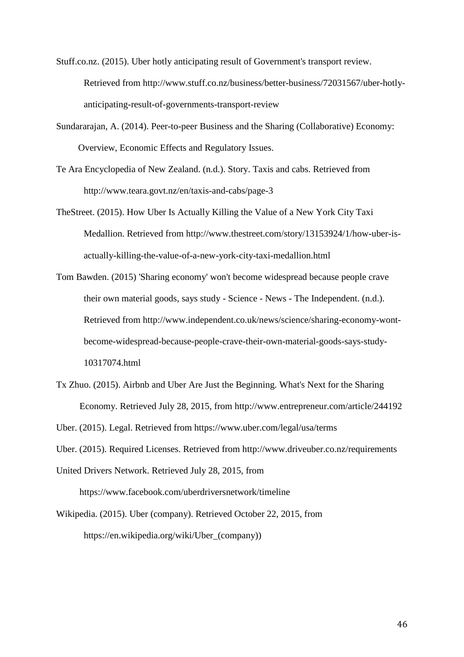Stuff.co.nz. (2015). Uber hotly anticipating result of Government's transport review. Retrieved from http://www.stuff.co.nz/business/better-business/72031567/uber-hotlyanticipating-result-of-governments-transport-review

Sundararajan, A. (2014). Peer-to-peer Business and the Sharing (Collaborative) Economy: Overview, Economic Effects and Regulatory Issues.

Te Ara Encyclopedia of New Zealand. (n.d.). Story. Taxis and cabs. Retrieved from http://www.teara.govt.nz/en/taxis-and-cabs/page-3

- TheStreet. (2015). How Uber Is Actually Killing the Value of a New York City Taxi Medallion. Retrieved from http://www.thestreet.com/story/13153924/1/how-uber-isactually-killing-the-value-of-a-new-york-city-taxi-medallion.html
- Tom Bawden. (2015) 'Sharing economy' won't become widespread because people crave their own material goods, says study - Science - News - The Independent. (n.d.). Retrieved from http://www.independent.co.uk/news/science/sharing-economy-wontbecome-widespread-because-people-crave-their-own-material-goods-says-study-10317074.html
- Tx Zhuo. (2015). Airbnb and Uber Are Just the Beginning. What's Next for the Sharing Economy. Retrieved July 28, 2015, from http://www.entrepreneur.com/article/244192

Uber. (2015). Legal. Retrieved from https://www.uber.com/legal/usa/terms

Uber. (2015). Required Licenses. Retrieved from http://www.driveuber.co.nz/requirements

United Drivers Network. Retrieved July 28, 2015, from https://www.facebook.com/uberdriversnetwork/timeline

Wikipedia. (2015). Uber (company). Retrieved October 22, 2015, from https://en.wikipedia.org/wiki/Uber\_(company))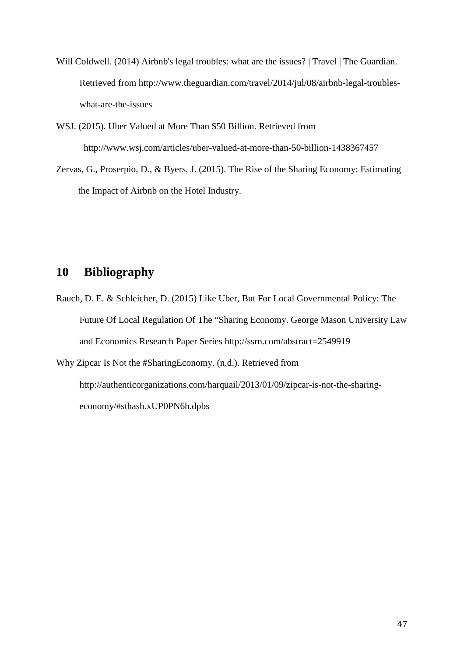- Will Coldwell. (2014) Airbnb's legal troubles: what are the issues? | Travel | The Guardian. Retrieved from http://www.theguardian.com/travel/2014/jul/08/airbnb-legal-troubleswhat-are-the-issues
- WSJ. (2015). Uber Valued at More Than \$50 Billion. Retrieved from http://www.wsj.com/articles/uber-valued-at-more-than-50-billion-1438367457
- Zervas, G., Proserpio, D., & Byers, J. (2015). The Rise of the Sharing Economy: Estimating the Impact of Airbnb on the Hotel Industry.

# **10 Bibliography**

Rauch, D. E. & Schleicher, D. (2015) Like Uber, But For Local Governmental Policy: The Future Of Local Regulation Of The "Sharing Economy. George Mason University Law and Economics Research Paper Series http://ssrn.com/abstract=2549919 Why Zipcar Is Not the #SharingEconomy. (n.d.). Retrieved from

http://authenticorganizations.com/harquail/2013/01/09/zipcar-is-not-the-sharingeconomy/#sthash.xUP0PN6h.dpbs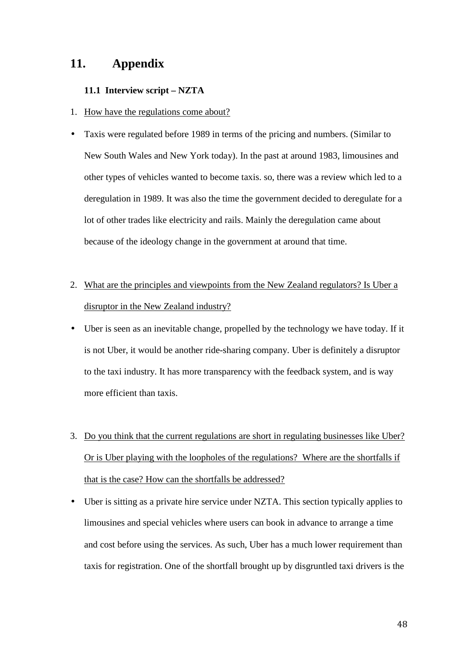## **11. Appendix**

#### **11.1 Interview script – NZTA**

- 1. How have the regulations come about?
- Taxis were regulated before 1989 in terms of the pricing and numbers. (Similar to New South Wales and New York today). In the past at around 1983, limousines and other types of vehicles wanted to become taxis. so, there was a review which led to a deregulation in 1989. It was also the time the government decided to deregulate for a lot of other trades like electricity and rails. Mainly the deregulation came about because of the ideology change in the government at around that time.
- 2. What are the principles and viewpoints from the New Zealand regulators? Is Uber a disruptor in the New Zealand industry?
- Uber is seen as an inevitable change, propelled by the technology we have today. If it is not Uber, it would be another ride-sharing company. Uber is definitely a disruptor to the taxi industry. It has more transparency with the feedback system, and is way more efficient than taxis.
- 3. Do you think that the current regulations are short in regulating businesses like Uber? Or is Uber playing with the loopholes of the regulations? Where are the shortfalls if that is the case? How can the shortfalls be addressed?
- Uber is sitting as a private hire service under NZTA. This section typically applies to limousines and special vehicles where users can book in advance to arrange a time and cost before using the services. As such, Uber has a much lower requirement than taxis for registration. One of the shortfall brought up by disgruntled taxi drivers is the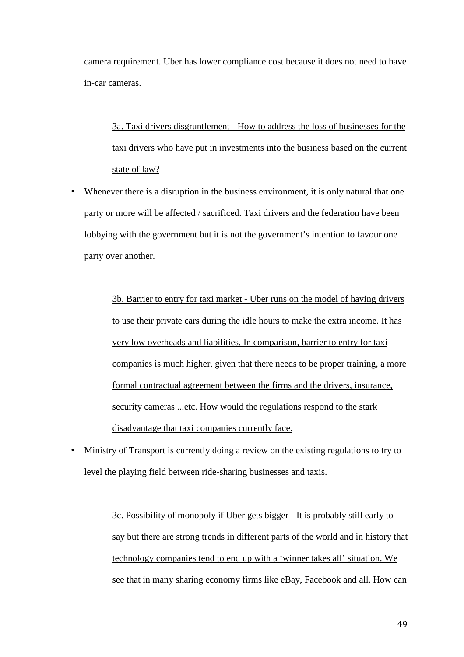camera requirement. Uber has lower compliance cost because it does not need to have in-car cameras.

3a. Taxi drivers disgruntlement - How to address the loss of businesses for the taxi drivers who have put in investments into the business based on the current state of law?

Whenever there is a disruption in the business environment, it is only natural that one party or more will be affected / sacrificed. Taxi drivers and the federation have been lobbying with the government but it is not the government's intention to favour one party over another.

> 3b. Barrier to entry for taxi market - Uber runs on the model of having drivers to use their private cars during the idle hours to make the extra income. It has very low overheads and liabilities. In comparison, barrier to entry for taxi companies is much higher, given that there needs to be proper training, a more formal contractual agreement between the firms and the drivers, insurance, security cameras ...etc. How would the regulations respond to the stark disadvantage that taxi companies currently face.

• Ministry of Transport is currently doing a review on the existing regulations to try to level the playing field between ride-sharing businesses and taxis.

> 3c. Possibility of monopoly if Uber gets bigger - It is probably still early to say but there are strong trends in different parts of the world and in history that technology companies tend to end up with a 'winner takes all' situation. We see that in many sharing economy firms like eBay, Facebook and all. How can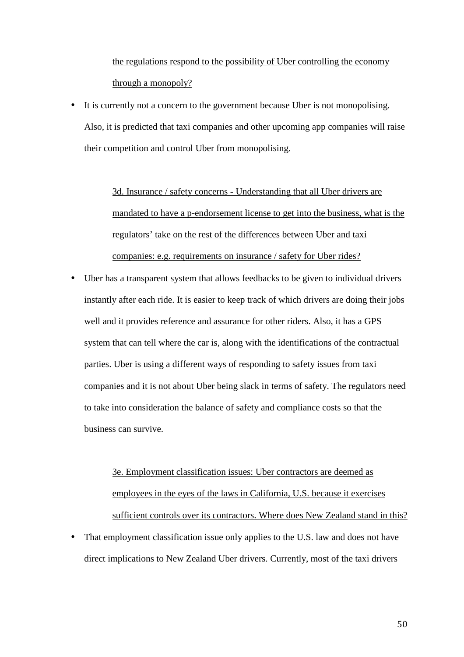the regulations respond to the possibility of Uber controlling the economy through a monopoly?

• It is currently not a concern to the government because Uber is not monopolising. Also, it is predicted that taxi companies and other upcoming app companies will raise their competition and control Uber from monopolising.

> 3d. Insurance / safety concerns - Understanding that all Uber drivers are mandated to have a p-endorsement license to get into the business, what is the regulators' take on the rest of the differences between Uber and taxi companies: e.g. requirements on insurance / safety for Uber rides?

• Uber has a transparent system that allows feedbacks to be given to individual drivers instantly after each ride. It is easier to keep track of which drivers are doing their jobs well and it provides reference and assurance for other riders. Also, it has a GPS system that can tell where the car is, along with the identifications of the contractual parties. Uber is using a different ways of responding to safety issues from taxi companies and it is not about Uber being slack in terms of safety. The regulators need to take into consideration the balance of safety and compliance costs so that the business can survive.

> 3e. Employment classification issues: Uber contractors are deemed as employees in the eyes of the laws in California, U.S. because it exercises sufficient controls over its contractors. Where does New Zealand stand in this?

That employment classification issue only applies to the U.S. law and does not have direct implications to New Zealand Uber drivers. Currently, most of the taxi drivers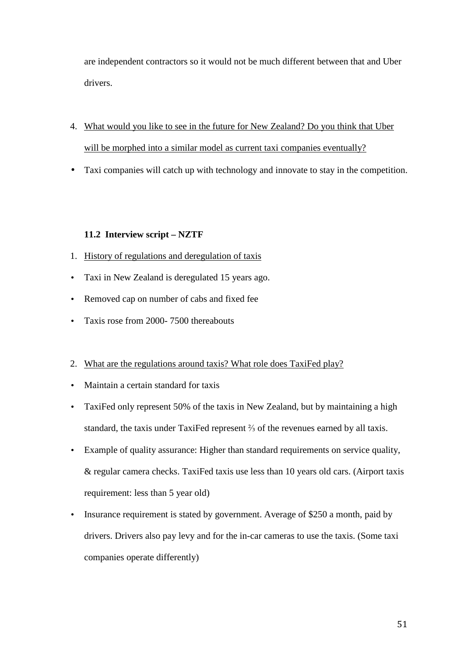are independent contractors so it would not be much different between that and Uber drivers.

- 4. What would you like to see in the future for New Zealand? Do you think that Uber will be morphed into a similar model as current taxi companies eventually?
- Taxi companies will catch up with technology and innovate to stay in the competition.

### **11.2 Interview script – NZTF**

- 1. History of regulations and deregulation of taxis
- Taxi in New Zealand is deregulated 15 years ago.
- Removed cap on number of cabs and fixed fee
- Taxis rose from 2000-7500 thereabouts
- 2. What are the regulations around taxis? What role does TaxiFed play?
- Maintain a certain standard for taxis
- TaxiFed only represent 50% of the taxis in New Zealand, but by maintaining a high standard, the taxis under TaxiFed represent ⅔ of the revenues earned by all taxis.
- Example of quality assurance: Higher than standard requirements on service quality, & regular camera checks. TaxiFed taxis use less than 10 years old cars. (Airport taxis requirement: less than 5 year old)
- Insurance requirement is stated by government. Average of \$250 a month, paid by drivers. Drivers also pay levy and for the in-car cameras to use the taxis. (Some taxi companies operate differently)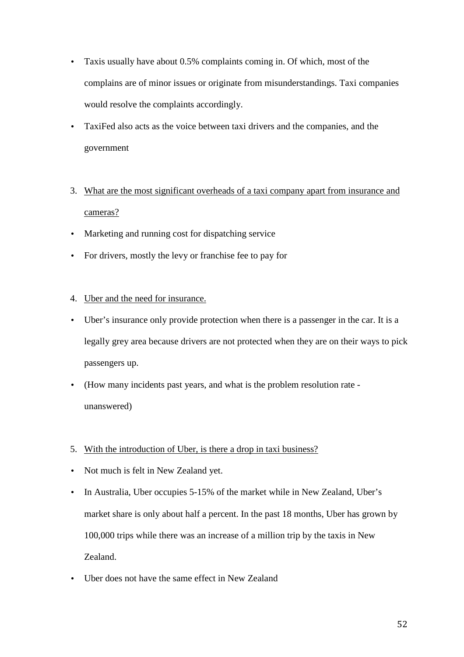- Taxis usually have about 0.5% complaints coming in. Of which, most of the complains are of minor issues or originate from misunderstandings. Taxi companies would resolve the complaints accordingly.
- TaxiFed also acts as the voice between taxi drivers and the companies, and the government
- 3. What are the most significant overheads of a taxi company apart from insurance and cameras?
- Marketing and running cost for dispatching service
- For drivers, mostly the levy or franchise fee to pay for
- 4. Uber and the need for insurance.
- Uber's insurance only provide protection when there is a passenger in the car. It is a legally grey area because drivers are not protected when they are on their ways to pick passengers up.
- (How many incidents past years, and what is the problem resolution rate unanswered)
- 5. With the introduction of Uber, is there a drop in taxi business?
- Not much is felt in New Zealand yet.
- In Australia, Uber occupies 5-15% of the market while in New Zealand, Uber's market share is only about half a percent. In the past 18 months, Uber has grown by 100,000 trips while there was an increase of a million trip by the taxis in New Zealand.
- Uber does not have the same effect in New Zealand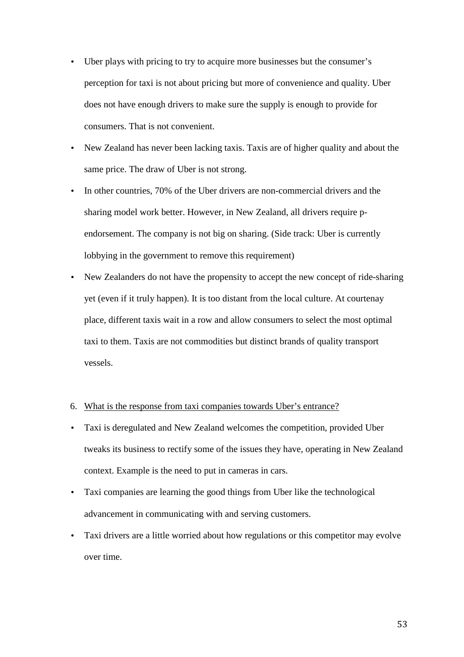- Uber plays with pricing to try to acquire more businesses but the consumer's perception for taxi is not about pricing but more of convenience and quality. Uber does not have enough drivers to make sure the supply is enough to provide for consumers. That is not convenient.
- New Zealand has never been lacking taxis. Taxis are of higher quality and about the same price. The draw of Uber is not strong.
- In other countries, 70% of the Uber drivers are non-commercial drivers and the sharing model work better. However, in New Zealand, all drivers require pendorsement. The company is not big on sharing. (Side track: Uber is currently lobbying in the government to remove this requirement)
- New Zealanders do not have the propensity to accept the new concept of ride-sharing yet (even if it truly happen). It is too distant from the local culture. At courtenay place, different taxis wait in a row and allow consumers to select the most optimal taxi to them. Taxis are not commodities but distinct brands of quality transport vessels.

#### 6. What is the response from taxi companies towards Uber's entrance?

- Taxi is deregulated and New Zealand welcomes the competition, provided Uber tweaks its business to rectify some of the issues they have, operating in New Zealand context. Example is the need to put in cameras in cars.
- Taxi companies are learning the good things from Uber like the technological advancement in communicating with and serving customers.
- Taxi drivers are a little worried about how regulations or this competitor may evolve over time.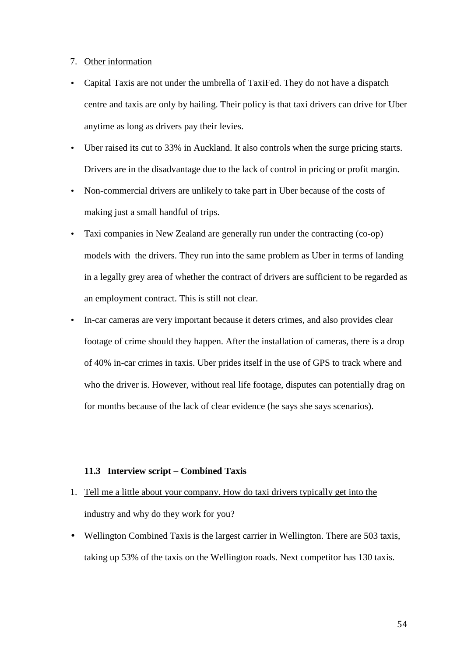#### 7. Other information

- Capital Taxis are not under the umbrella of TaxiFed. They do not have a dispatch centre and taxis are only by hailing. Their policy is that taxi drivers can drive for Uber anytime as long as drivers pay their levies.
- Uber raised its cut to 33% in Auckland. It also controls when the surge pricing starts. Drivers are in the disadvantage due to the lack of control in pricing or profit margin.
- Non-commercial drivers are unlikely to take part in Uber because of the costs of making just a small handful of trips.
- Taxi companies in New Zealand are generally run under the contracting (co-op) models with the drivers. They run into the same problem as Uber in terms of landing in a legally grey area of whether the contract of drivers are sufficient to be regarded as an employment contract. This is still not clear.
- In-car cameras are very important because it deters crimes, and also provides clear footage of crime should they happen. After the installation of cameras, there is a drop of 40% in-car crimes in taxis. Uber prides itself in the use of GPS to track where and who the driver is. However, without real life footage, disputes can potentially drag on for months because of the lack of clear evidence (he says she says scenarios).

#### **11.3 Interview script – Combined Taxis**

- 1. Tell me a little about your company. How do taxi drivers typically get into the industry and why do they work for you?
- Wellington Combined Taxis is the largest carrier in Wellington. There are 503 taxis, taking up 53% of the taxis on the Wellington roads. Next competitor has 130 taxis.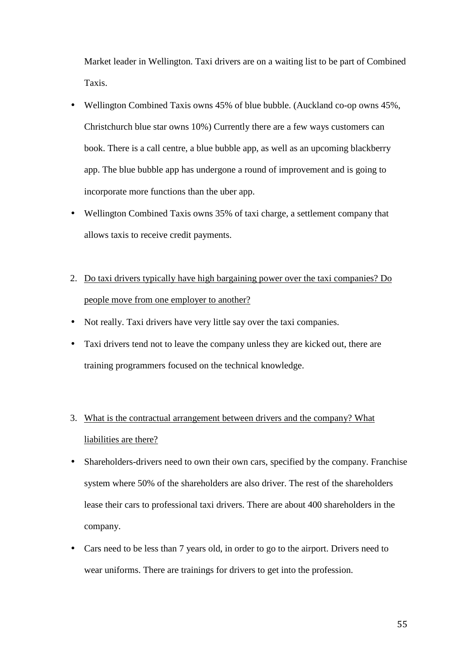Market leader in Wellington. Taxi drivers are on a waiting list to be part of Combined Taxis.

- Wellington Combined Taxis owns 45% of blue bubble. (Auckland co-op owns 45%, Christchurch blue star owns 10%) Currently there are a few ways customers can book. There is a call centre, a blue bubble app, as well as an upcoming blackberry app. The blue bubble app has undergone a round of improvement and is going to incorporate more functions than the uber app.
- Wellington Combined Taxis owns 35% of taxi charge, a settlement company that allows taxis to receive credit payments.
- 2. Do taxi drivers typically have high bargaining power over the taxi companies? Do people move from one employer to another?
- Not really. Taxi drivers have very little say over the taxi companies.
- Taxi drivers tend not to leave the company unless they are kicked out, there are training programmers focused on the technical knowledge.
- 3. What is the contractual arrangement between drivers and the company? What liabilities are there?
- Shareholders-drivers need to own their own cars, specified by the company. Franchise system where 50% of the shareholders are also driver. The rest of the shareholders lease their cars to professional taxi drivers. There are about 400 shareholders in the company.
- Cars need to be less than 7 years old, in order to go to the airport. Drivers need to wear uniforms. There are trainings for drivers to get into the profession.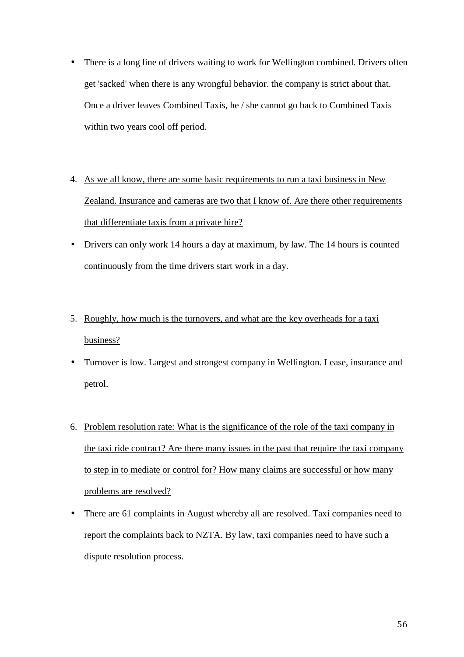- There is a long line of drivers waiting to work for Wellington combined. Drivers often get 'sacked' when there is any wrongful behavior. the company is strict about that. Once a driver leaves Combined Taxis, he / she cannot go back to Combined Taxis within two years cool off period.
- 4. As we all know, there are some basic requirements to run a taxi business in New Zealand. Insurance and cameras are two that I know of. Are there other requirements that differentiate taxis from a private hire?
- Drivers can only work 14 hours a day at maximum, by law. The 14 hours is counted continuously from the time drivers start work in a day.
- 5. Roughly, how much is the turnovers, and what are the key overheads for a taxi business?
- Turnover is low. Largest and strongest company in Wellington. Lease, insurance and petrol.
- 6. Problem resolution rate: What is the significance of the role of the taxi company in the taxi ride contract? Are there many issues in the past that require the taxi company to step in to mediate or control for? How many claims are successful or how many problems are resolved?
- There are 61 complaints in August whereby all are resolved. Taxi companies need to report the complaints back to NZTA. By law, taxi companies need to have such a dispute resolution process.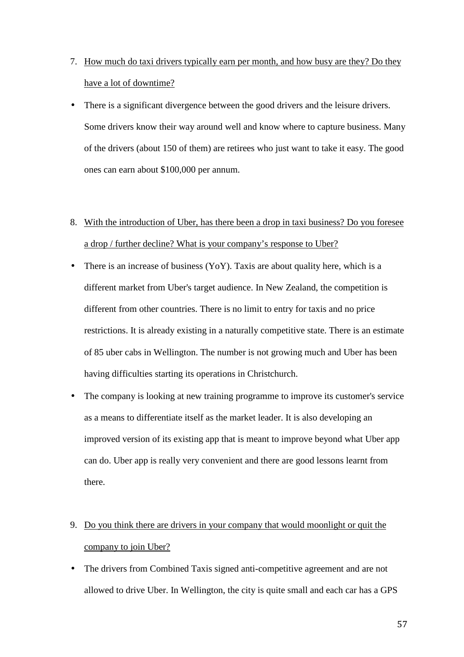- 7. How much do taxi drivers typically earn per month, and how busy are they? Do they have a lot of downtime?
- There is a significant divergence between the good drivers and the leisure drivers. Some drivers know their way around well and know where to capture business. Many of the drivers (about 150 of them) are retirees who just want to take it easy. The good ones can earn about \$100,000 per annum.
- 8. With the introduction of Uber, has there been a drop in taxi business? Do you foresee a drop / further decline? What is your company's response to Uber?
- There is an increase of business  $(YoY)$ . Taxis are about quality here, which is a different market from Uber's target audience. In New Zealand, the competition is different from other countries. There is no limit to entry for taxis and no price restrictions. It is already existing in a naturally competitive state. There is an estimate of 85 uber cabs in Wellington. The number is not growing much and Uber has been having difficulties starting its operations in Christchurch.
- The company is looking at new training programme to improve its customer's service as a means to differentiate itself as the market leader. It is also developing an improved version of its existing app that is meant to improve beyond what Uber app can do. Uber app is really very convenient and there are good lessons learnt from there.
- 9. Do you think there are drivers in your company that would moonlight or quit the company to join Uber?
- The drivers from Combined Taxis signed anti-competitive agreement and are not allowed to drive Uber. In Wellington, the city is quite small and each car has a GPS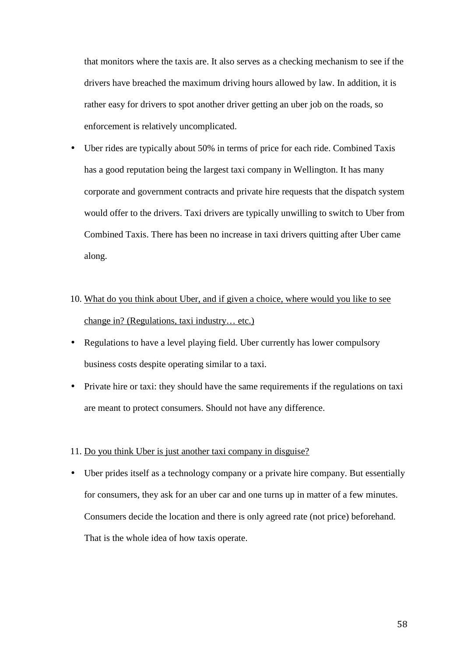that monitors where the taxis are. It also serves as a checking mechanism to see if the drivers have breached the maximum driving hours allowed by law. In addition, it is rather easy for drivers to spot another driver getting an uber job on the roads, so enforcement is relatively uncomplicated.

- Uber rides are typically about 50% in terms of price for each ride. Combined Taxis has a good reputation being the largest taxi company in Wellington. It has many corporate and government contracts and private hire requests that the dispatch system would offer to the drivers. Taxi drivers are typically unwilling to switch to Uber from Combined Taxis. There has been no increase in taxi drivers quitting after Uber came along.
- 10. What do you think about Uber, and if given a choice, where would you like to see change in? (Regulations, taxi industry… etc.)
- Regulations to have a level playing field. Uber currently has lower compulsory business costs despite operating similar to a taxi.
- Private hire or taxi: they should have the same requirements if the regulations on taxi are meant to protect consumers. Should not have any difference.

#### 11. Do you think Uber is just another taxi company in disguise?

• Uber prides itself as a technology company or a private hire company. But essentially for consumers, they ask for an uber car and one turns up in matter of a few minutes. Consumers decide the location and there is only agreed rate (not price) beforehand. That is the whole idea of how taxis operate.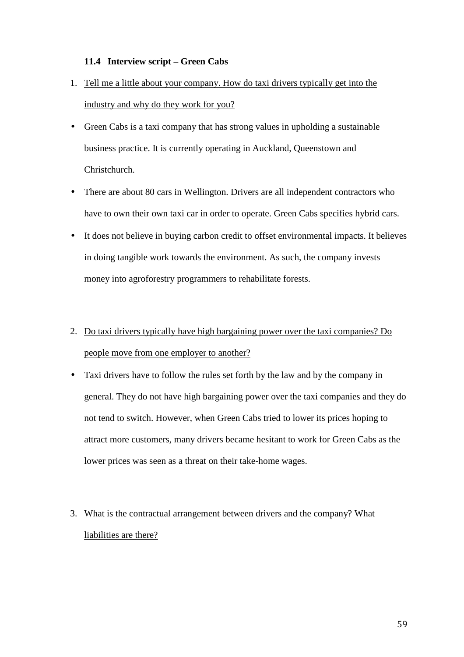### **11.4 Interview script – Green Cabs**

- 1. Tell me a little about your company. How do taxi drivers typically get into the industry and why do they work for you?
- Green Cabs is a taxi company that has strong values in upholding a sustainable business practice. It is currently operating in Auckland, Queenstown and Christchurch.
- There are about 80 cars in Wellington. Drivers are all independent contractors who have to own their own taxi car in order to operate. Green Cabs specifies hybrid cars.
- It does not believe in buying carbon credit to offset environmental impacts. It believes in doing tangible work towards the environment. As such, the company invests money into agroforestry programmers to rehabilitate forests.

# 2. Do taxi drivers typically have high bargaining power over the taxi companies? Do people move from one employer to another?

• Taxi drivers have to follow the rules set forth by the law and by the company in general. They do not have high bargaining power over the taxi companies and they do not tend to switch. However, when Green Cabs tried to lower its prices hoping to attract more customers, many drivers became hesitant to work for Green Cabs as the lower prices was seen as a threat on their take-home wages.

# 3. What is the contractual arrangement between drivers and the company? What liabilities are there?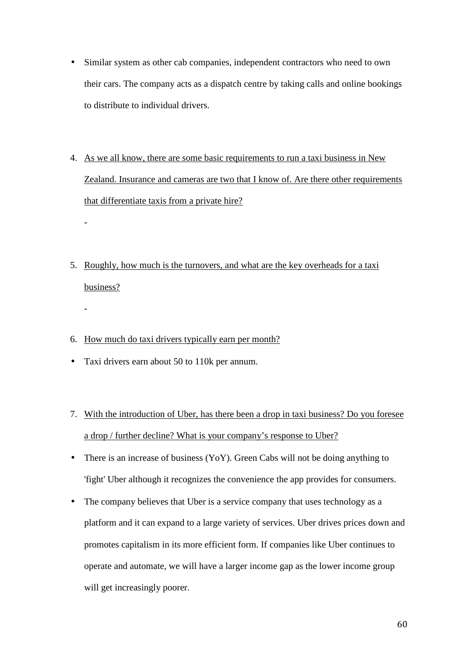- Similar system as other cab companies, independent contractors who need to own their cars. The company acts as a dispatch centre by taking calls and online bookings to distribute to individual drivers.
- 4. As we all know, there are some basic requirements to run a taxi business in New Zealand. Insurance and cameras are two that I know of. Are there other requirements that differentiate taxis from a private hire?
- 5. Roughly, how much is the turnovers, and what are the key overheads for a taxi business?
- 6. How much do taxi drivers typically earn per month?
- Taxi drivers earn about 50 to 110k per annum.

-

-

- 7. With the introduction of Uber, has there been a drop in taxi business? Do you foresee a drop / further decline? What is your company's response to Uber?
- There is an increase of business (YoY). Green Cabs will not be doing anything to 'fight' Uber although it recognizes the convenience the app provides for consumers.
- The company believes that Uber is a service company that uses technology as a platform and it can expand to a large variety of services. Uber drives prices down and promotes capitalism in its more efficient form. If companies like Uber continues to operate and automate, we will have a larger income gap as the lower income group will get increasingly poorer.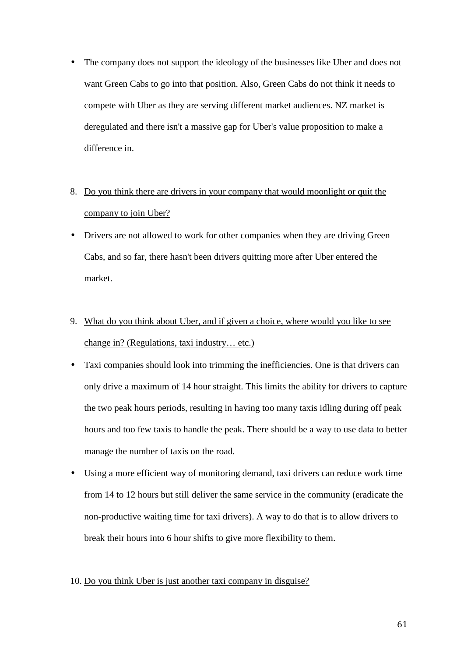• The company does not support the ideology of the businesses like Uber and does not want Green Cabs to go into that position. Also, Green Cabs do not think it needs to compete with Uber as they are serving different market audiences. NZ market is deregulated and there isn't a massive gap for Uber's value proposition to make a difference in.

# 8. Do you think there are drivers in your company that would moonlight or quit the company to join Uber?

- Drivers are not allowed to work for other companies when they are driving Green Cabs, and so far, there hasn't been drivers quitting more after Uber entered the market.
- 9. What do you think about Uber, and if given a choice, where would you like to see change in? (Regulations, taxi industry… etc.)
- Taxi companies should look into trimming the inefficiencies. One is that drivers can only drive a maximum of 14 hour straight. This limits the ability for drivers to capture the two peak hours periods, resulting in having too many taxis idling during off peak hours and too few taxis to handle the peak. There should be a way to use data to better manage the number of taxis on the road.
- Using a more efficient way of monitoring demand, taxi drivers can reduce work time from 14 to 12 hours but still deliver the same service in the community (eradicate the non-productive waiting time for taxi drivers). A way to do that is to allow drivers to break their hours into 6 hour shifts to give more flexibility to them.

#### 10. Do you think Uber is just another taxi company in disguise?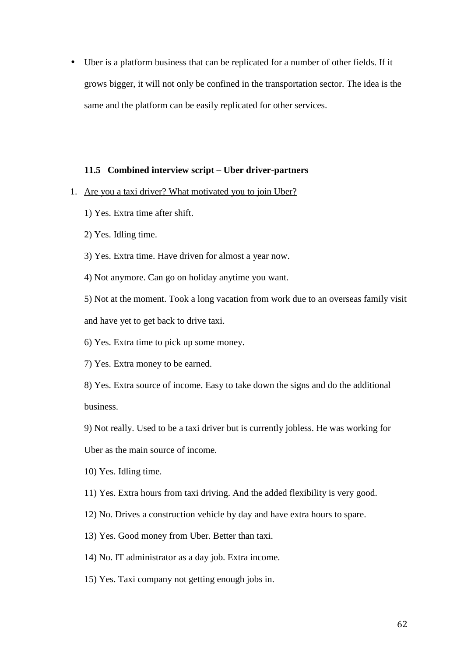• Uber is a platform business that can be replicated for a number of other fields. If it grows bigger, it will not only be confined in the transportation sector. The idea is the same and the platform can be easily replicated for other services.

#### **11.5 Combined interview script – Uber driver-partners**

- 1. Are you a taxi driver? What motivated you to join Uber?
	- 1) Yes. Extra time after shift.
	- 2) Yes. Idling time.
	- 3) Yes. Extra time. Have driven for almost a year now.
	- 4) Not anymore. Can go on holiday anytime you want.

5) Not at the moment. Took a long vacation from work due to an overseas family visit and have yet to get back to drive taxi.

- 6) Yes. Extra time to pick up some money.
- 7) Yes. Extra money to be earned.

8) Yes. Extra source of income. Easy to take down the signs and do the additional business.

9) Not really. Used to be a taxi driver but is currently jobless. He was working for

Uber as the main source of income.

10) Yes. Idling time.

11) Yes. Extra hours from taxi driving. And the added flexibility is very good.

- 12) No. Drives a construction vehicle by day and have extra hours to spare.
- 13) Yes. Good money from Uber. Better than taxi.
- 14) No. IT administrator as a day job. Extra income.
- 15) Yes. Taxi company not getting enough jobs in.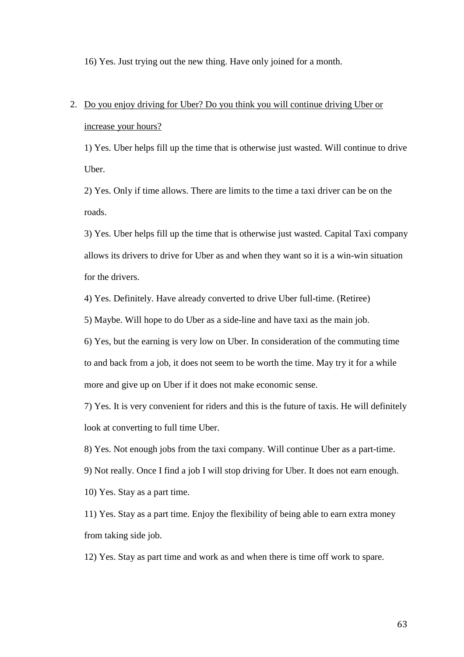16) Yes. Just trying out the new thing. Have only joined for a month.

# 2. Do you enjoy driving for Uber? Do you think you will continue driving Uber or increase your hours?

1) Yes. Uber helps fill up the time that is otherwise just wasted. Will continue to drive Uber.

2) Yes. Only if time allows. There are limits to the time a taxi driver can be on the roads.

3) Yes. Uber helps fill up the time that is otherwise just wasted. Capital Taxi company allows its drivers to drive for Uber as and when they want so it is a win-win situation for the drivers.

4) Yes. Definitely. Have already converted to drive Uber full-time. (Retiree)

5) Maybe. Will hope to do Uber as a side-line and have taxi as the main job.

6) Yes, but the earning is very low on Uber. In consideration of the commuting time to and back from a job, it does not seem to be worth the time. May try it for a while more and give up on Uber if it does not make economic sense.

7) Yes. It is very convenient for riders and this is the future of taxis. He will definitely look at converting to full time Uber.

8) Yes. Not enough jobs from the taxi company. Will continue Uber as a part-time.

9) Not really. Once I find a job I will stop driving for Uber. It does not earn enough.

10) Yes. Stay as a part time.

11) Yes. Stay as a part time. Enjoy the flexibility of being able to earn extra money from taking side job.

12) Yes. Stay as part time and work as and when there is time off work to spare.